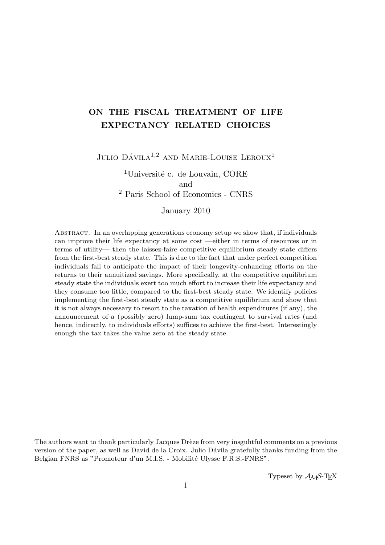# ON THE FISCAL TREATMENT OF LIFE EXPECTANCY RELATED CHOICES

Julio Dávila<sup>1,2</sup> and Marie-Louise Leroux<sup>1</sup>

 $1$ Université c. de Louvain, CORE and <sup>2</sup> Paris School of Economics - CNRS

### January 2010

Abstract. In an overlapping generations economy setup we show that, if individuals can improve their life expectancy at some cost —either in terms of resources or in terms of utility— then the laissez-faire competitive equilibrium steady state differs from the first-best steady state. This is due to the fact that under perfect competition individuals fail to anticipate the impact of their longevity-enhancing efforts on the returns to their annuitized savings. More specifically, at the competitive equilibrium steady state the individuals exert too much effort to increase their life expectancy and they consume too little, compared to the first-best steady state. We identify policies implementing the first-best steady state as a competitive equilibrium and show that it is not always necessary to resort to the taxation of health expenditures (if any), the announcement of a (possibly zero) lump-sum tax contingent to survival rates (and hence, indirectly, to individuals efforts) suffices to achieve the first-best. Interestingly enough the tax takes the value zero at the steady state.

The authors want to thank particularly Jacques Drèze from very insguhtful comments on a previous version of the paper, as well as David de la Croix. Julio Dávila gratefully thanks funding from the Belgian FNRS as "Promoteur d'un M.I.S. - Mobilité Ulysse F.R.S.-FNRS".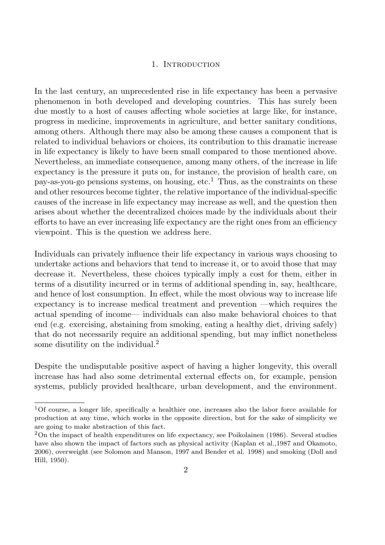### 1. INTRODUCTION

In the last century, an unprecedented rise in life expectancy has been a pervasive phenomenon in both developed and developing countries. This has surely been due mostly to a host of causes affecting whole societies at large like, for instance, progress in medicine, improvements in agriculture, and better sanitary conditions, among others. Although there may also be among these causes a component that is related to individual behaviors or choices, its contribution to this dramatic increase in life expectancy is likely to have been small compared to those mentioned above. Nevertheless, an immediate consequence, among many others, of the increase in life expectancy is the pressure it puts on, for instance, the provision of health care, on pay-as-you-go pensions systems, on housing,  $etc.<sup>1</sup>$  Thus, as the constraints on these and other resources become tighter, the relative importance of the individual-specific causes of the increase in life expectancy may increase as well, and the question then arises about whether the decentralized choices made by the individuals about their efforts to have an ever increasing life expectancy are the right ones from an efficiency viewpoint. This is the question we address here.

Individuals can privately influence their life expectancy in various ways choosing to undertake actions and behaviors that tend to increase it, or to avoid those that may decrease it. Nevertheless, these choices typically imply a cost for them, either in terms of a disutility incurred or in terms of additional spending in, say, healthcare, and hence of lost consumption. In effect, while the most obvious way to increase life expectancy is to increase medical treatment and prevention —which requires the actual spending of income— individuals can also make behavioral choices to that end (e.g. exercising, abstaining from smoking, eating a healthy diet, driving safely) that do not necessarily require an additional spending, but may inflict nonetheless some disutility on the individual.<sup>2</sup>

Despite the undisputable positive aspect of having a higher longevity, this overall increase has had also some detrimental external effects on, for example, pension systems, publicly provided healthcare, urban development, and the environment.

<sup>1</sup>Of course, a longer life, specifically a healthier one, increases also the labor force available for production at any time, which works in the opposite direction, but for the sake of simplicity we are going to make abstraction of this fact.

<sup>2</sup>On the impact of health expenditures on life expectancy, see Poikolainen (1986). Several studies have also shown the impact of factors such as physical activity (Kaplan et al.,1987 and Okamoto, 2006), overweight (see Solomon and Manson, 1997 and Bender et al. 1998) and smoking (Doll and Hill, 1950).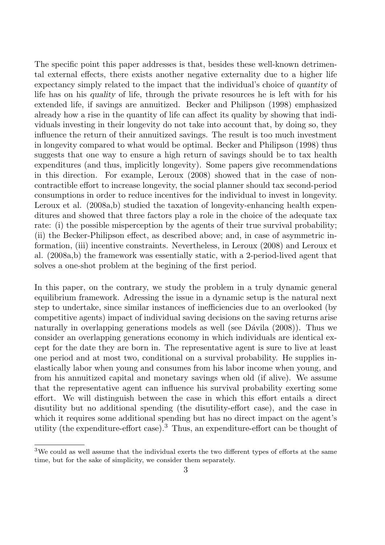The specific point this paper addresses is that, besides these well-known detrimental external effects, there exists another negative externality due to a higher life expectancy simply related to the impact that the individual's choice of quantity of life has on his quality of life, through the private resources he is left with for his extended life, if savings are annuitized. Becker and Philipson (1998) emphasized already how a rise in the quantity of life can affect its quality by showing that individuals investing in their longevity do not take into account that, by doing so, they influence the return of their annuitized savings. The result is too much investment in longevity compared to what would be optimal. Becker and Philipson (1998) thus suggests that one way to ensure a high return of savings should be to tax health expenditures (and thus, implicitly longevity). Some papers give recommendations in this direction. For example, Leroux (2008) showed that in the case of noncontractible effort to increase longevity, the social planner should tax second-period consumptions in order to reduce incentives for the individual to invest in longevity. Leroux et al. (2008a,b) studied the taxation of longevity-enhancing health expenditures and showed that three factors play a role in the choice of the adequate tax rate: (i) the possible misperception by the agents of their true survival probability; (ii) the Becker-Philipson effect, as described above; and, in case of asymmetric information, (iii) incentive constraints. Nevertheless, in Leroux (2008) and Leroux et al. (2008a,b) the framework was essentially static, with a 2-period-lived agent that solves a one-shot problem at the begining of the first period.

In this paper, on the contrary, we study the problem in a truly dynamic general equilibrium framework. Adressing the issue in a dynamic setup is the natural next step to undertake, since similar instances of inefficiencies due to an overlooked (by competitive agents) impact of individual saving decisions on the saving returns arise naturally in overlapping generations models as well (see Dávila (2008)). Thus we consider an overlapping generations economy in which individuals are identical except for the date they are born in. The representative agent is sure to live at least one period and at most two, conditional on a survival probability. He supplies inelastically labor when young and consumes from his labor income when young, and from his annuitized capital and monetary savings when old (if alive). We assume that the representative agent can influence his survival probability exerting some effort. We will distinguish between the case in which this effort entails a direct disutility but no additional spending (the disutility-effort case), and the case in which it requires some additional spending but has no direct impact on the agent's utility (the expenditure-effort case).<sup>3</sup> Thus, an expenditure-effort can be thought of

<sup>&</sup>lt;sup>3</sup>We could as well assume that the individual exerts the two different types of efforts at the same time, but for the sake of simplicity, we consider them separately.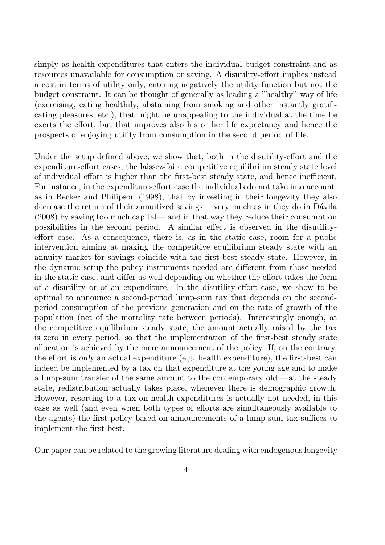simply as health expenditures that enters the individual budget constraint and as resources unavailable for consumption or saving. A disutility-effort implies instead a cost in terms of utility only, entering negatively the utility function but not the budget constraint. It can be thought of generally as leading a "healthy" way of life (exercising, eating healthily, abstaining from smoking and other instantly gratificating pleasures, etc.), that might be unappealing to the individual at the time he exerts the effort, but that improves also his or her life expectancy and hence the prospects of enjoying utility from consumption in the second period of life.

Under the setup defined above, we show that, both in the disutility-effort and the expenditure-effort cases, the laissez-faire competitive equilibrium steady state level of individual effort is higher than the first-best steady state, and hence inefficient. For instance, in the expenditure-effort case the individuals do not take into account, as in Becker and Philipson (1998), that by investing in their longevity they also decrease the return of their annuitized savings —very much as in they do in Dávila (2008) by saving too much capital— and in that way they reduce their consumption possibilities in the second period. A similar effect is observed in the disutilityeffort case. As a consequence, there is, as in the static case, room for a public intervention aiming at making the competitive equilibrium steady state with an annuity market for savings coincide with the first-best steady state. However, in the dynamic setup the policy instruments needed are different from those needed in the static case, and differ as well depending on whether the effort takes the form of a disutility or of an expenditure. In the disutility-effort case, we show to be optimal to announce a second-period lump-sum tax that depends on the secondperiod consumption of the previous generation and on the rate of growth of the population (net of the mortality rate between periods). Interestingly enough, at the competitive equilibrium steady state, the amount actually raised by the tax is zero in every period, so that the implementation of the first-best steady state allocation is achieved by the mere announcement of the policy. If, on the contrary, the effort is only an actual expenditure (e.g. health expenditure), the first-best can indeed be implemented by a tax on that expenditure at the young age and to make a lump-sum transfer of the same amount to the contemporary old —at the steady state, redistribution actually takes place, whenever there is demographic growth. However, resorting to a tax on health expenditures is actually not needed, in this case as well (and even when both types of efforts are simultaneously available to the agents) the first policy based on announcements of a lump-sum tax suffices to implement the first-best.

Our paper can be related to the growing literature dealing with endogenous longevity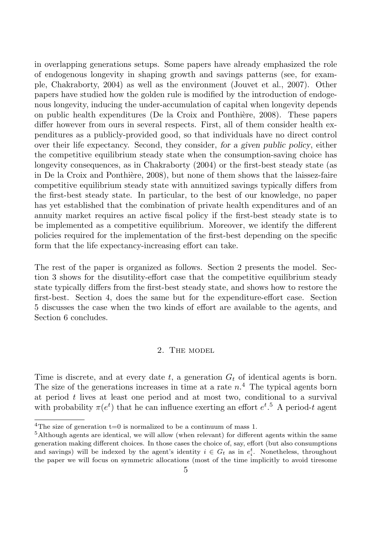in overlapping generations setups. Some papers have already emphasized the role of endogenous longevity in shaping growth and savings patterns (see, for example, Chakraborty, 2004) as well as the environment (Jouvet et al., 2007). Other papers have studied how the golden rule is modified by the introduction of endogenous longevity, inducing the under-accumulation of capital when longevity depends on public health expenditures (De la Croix and Ponthière, 2008). These papers differ however from ours in several respects. First, all of them consider health expenditures as a publicly-provided good, so that individuals have no direct control over their life expectancy. Second, they consider, for a given public policy, either the competitive equilibrium steady state when the consumption-saving choice has longevity consequences, as in Chakraborty (2004) or the first-best steady state (as in De la Croix and Ponthière, 2008), but none of them shows that the laissez-faire competitive equilibrium steady state with annuitized savings typically differs from the first-best steady state. In particular, to the best of our knowledge, no paper has yet established that the combination of private health expenditures and of an annuity market requires an active fiscal policy if the first-best steady state is to be implemented as a competitive equilibrium. Moreover, we identify the different policies required for the implementation of the first-best depending on the specific form that the life expectancy-increasing effort can take.

The rest of the paper is organized as follows. Section 2 presents the model. Section 3 shows for the disutility-effort case that the competitive equilibrium steady state typically differs from the first-best steady state, and shows how to restore the first-best. Section 4, does the same but for the expenditure-effort case. Section 5 discusses the case when the two kinds of effort are available to the agents, and Section 6 concludes.

#### 2. The model

Time is discrete, and at every date t, a generation  $G_t$  of identical agents is born. The size of the generations increases in time at a rate  $n<sup>4</sup>$ . The typical agents born at period  $t$  lives at least one period and at most two, conditional to a survival with probability  $\pi(e^t)$  that he can influence exerting an effort  $e^{t}$ .<sup>5</sup> A period-t agent

<sup>&</sup>lt;sup>4</sup>The size of generation  $t=0$  is normalized to be a continuum of mass 1.

<sup>5</sup>Although agents are identical, we will allow (when relevant) for different agents within the same generation making different choices. In those cases the choice of, say, effort (but also consumptions and savings) will be indexed by the agent's identity  $i \in G_t$  as in  $e_i^t$ . Nonetheless, throughout the paper we will focus on symmetric allocations (most of the time implicitly to avoid tiresome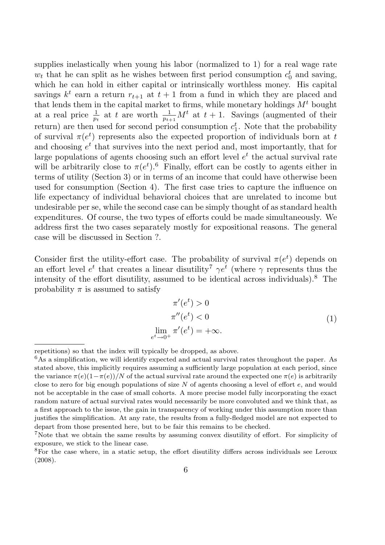supplies inelastically when young his labor (normalized to 1) for a real wage rate  $w_t$  that he can split as he wishes between first period consumption  $c_0^t$  and saving, which he can hold in either capital or intrinsically worthless money. His capital savings  $k^t$  earn a return  $r_{t+1}$  at  $t+1$  from a fund in which they are placed and that lends them in the capital market to firms, while monetary holdings  $M<sup>t</sup>$  bought at a real price  $\frac{1}{p_t}$  at t are worth  $\frac{1}{p_{t+1}}M^t$  at  $t+1$ . Savings (augmented of their return) are then used for second period consumption  $c_1^t$ . Note that the probability of survival  $\pi(e^t)$  represents also the expected proportion of individuals born at t and choosing  $e^t$  that survives into the next period and, most importantly, that for large populations of agents choosing such an effort level  $e^t$  the actual survival rate will be arbitrarily close to  $\pi(e^t)$ .<sup>6</sup> Finally, effort can be costly to agents either in terms of utility (Section 3) or in terms of an income that could have otherwise been used for consumption (Section 4). The first case tries to capture the influence on life expectancy of individual behavioral choices that are unrelated to income but undesirable per se, while the second case can be simply thought of as standard health expenditures. Of course, the two types of efforts could be made simultaneously. We address first the two cases separately mostly for expositional reasons. The general case will be discussed in Section ?.

Consider first the utility-effort case. The probability of survival  $\pi(e^t)$  depends on an effort level  $e^t$  that creates a linear disutility<sup>7</sup>  $\gamma e^t$  (where  $\gamma$  represents thus the intensity of the effort disutility, assumed to be identical across individuals).<sup>8</sup> The probability  $\pi$  is assumed to satisfy

$$
\pi'(e^t) > 0
$$
  
\n
$$
\pi''(e^t) < 0
$$
  
\n
$$
\lim_{t \to 0^+} \pi'(e^t) = +\infty.
$$
\n(1)

e

repetitions) so that the index will typically be dropped, as above.

 $6$ As a simplification, we will identify expected and actual survival rates throughout the paper. As stated above, this implicitly requires assuming a sufficiently large population at each period, since the variance  $\pi(e)(1-\pi(e))/N$  of the actual survival rate around the expected one  $\pi(e)$  is arbitrarily close to zero for big enough populations of size  $N$  of agents choosing a level of effort  $e$ , and would not be acceptable in the case of small cohorts. A more precise model fully incorporating the exact random nature of actual survival rates would necessarily be more convoluted and we think that, as a first approach to the issue, the gain in transparency of working under this assumption more than justifies the simplification. At any rate, the results from a fully-fledged model are not expected to depart from those presented here, but to be fair this remains to be checked.

<sup>7</sup>Note that we obtain the same results by assuming convex disutility of effort. For simplicity of exposure, we stick to the linear case.

<sup>&</sup>lt;sup>8</sup>For the case where, in a static setup, the effort disutility differs across individuals see Leroux (2008).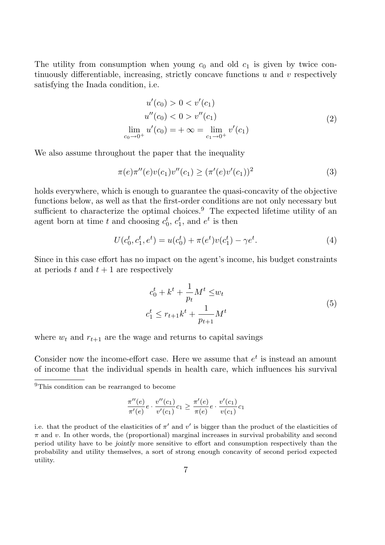The utility from consumption when young  $c_0$  and old  $c_1$  is given by twice continuously differentiable, increasing, strictly concave functions  $u$  and  $v$  respectively satisfying the Inada condition, i.e.

$$
u'(c_0) > 0 < v'(c_1)
$$
  
\n
$$
u''(c_0) < 0 > v''(c_1)
$$
  
\n
$$
\lim_{c_0 \to 0^+} u'(c_0) = +\infty = \lim_{c_1 \to 0^+} v'(c_1)
$$
\n(2)

We also assume throughout the paper that the inequality

$$
\pi(e)\pi''(e)v(c_1)v''(c_1) \ge (\pi'(e)v'(c_1))^2 \tag{3}
$$

holds everywhere, which is enough to guarantee the quasi-concavity of the objective functions below, as well as that the first-order conditions are not only necessary but sufficient to characterize the optimal choices.<sup>9</sup> The expected lifetime utility of an agent born at time t and choosing  $c_0^t$ ,  $c_1^t$ , and  $e^t$  is then

$$
U(c_0^t, c_1^t, e^t) = u(c_0^t) + \pi(e^t)v(c_1^t) - \gamma e^t.
$$
\n(4)

Since in this case effort has no impact on the agent's income, his budget constraints at periods t and  $t + 1$  are respectively

$$
c_0^t + k^t + \frac{1}{p_t} M^t \le w_t
$$
  
\n
$$
c_1^t \le r_{t+1} k^t + \frac{1}{p_{t+1}} M^t
$$
\n(5)

where  $w_t$  and  $r_{t+1}$  are the wage and returns to capital savings

Consider now the income-effort case. Here we assume that  $e^t$  is instead an amount of income that the individual spends in health care, which influences his survival

$$
\frac{\pi''(e)}{\pi'(e)}e \cdot \frac{v''(c_1)}{v'(c_1)}c_1 \ge \frac{\pi'(e)}{\pi(e)}e \cdot \frac{v'(c_1)}{v(c_1)}c_1
$$

<sup>&</sup>lt;sup>9</sup>This condition can be rearranged to become

i.e. that the product of the elasticities of  $\pi'$  and  $v'$  is bigger than the product of the elasticities of  $\pi$  and v. In other words, the (proportional) marginal increases in survival probability and second period utility have to be jointly more sensitive to effort and consumption respectively than the probability and utility themselves, a sort of strong enough concavity of second period expected utility.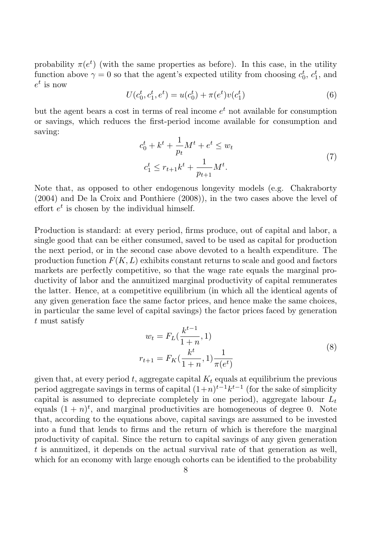probability  $\pi(e^t)$  (with the same properties as before). In this case, in the utility function above  $\gamma = 0$  so that the agent's expected utility from choosing  $c_0^t, c_1^t$ , and  $e^t$  is now

$$
U(c_0^t, c_1^t, e^t) = u(c_0^t) + \pi(e^t)v(c_1^t)
$$
\n<sup>(6)</sup>

but the agent bears a cost in terms of real income  $e^t$  not available for consumption or savings, which reduces the first-period income available for consumption and saving:

$$
c_0^t + k^t + \frac{1}{p_t} M^t + e^t \le w_t
$$
  
\n
$$
c_1^t \le r_{t+1} k^t + \frac{1}{p_{t+1}} M^t.
$$
\n(7)

Note that, as opposed to other endogenous longevity models (e.g. Chakraborty (2004) and De la Croix and Ponthiere (2008)), in the two cases above the level of effort  $e^t$  is chosen by the individual himself.

Production is standard: at every period, firms produce, out of capital and labor, a single good that can be either consumed, saved to be used as capital for production the next period, or in the second case above devoted to a health expenditure. The production function  $F(K, L)$  exhibits constant returns to scale and good and factors markets are perfectly competitive, so that the wage rate equals the marginal productivity of labor and the annuitized marginal productivity of capital remunerates the latter. Hence, at a competitive equilibrium (in which all the identical agents of any given generation face the same factor prices, and hence make the same choices, in particular the same level of capital savings) the factor prices faced by generation t must satisfy

$$
w_t = F_L(\frac{k^{t-1}}{1+n}, 1)
$$
  

$$
r_{t+1} = F_K(\frac{k^t}{1+n}, 1) \frac{1}{\pi(e^t)}
$$
 (8)

given that, at every period t, aggregate capital  $K_t$  equals at equilibrium the previous period aggregate savings in terms of capital  $(1+n)^{t-1}k^{t-1}$  (for the sake of simplicity capital is assumed to depreciate completely in one period), aggregate labour  $L_t$ equals  $(1+n)^t$ , and marginal productivities are homogeneous of degree 0. Note that, according to the equations above, capital savings are assumed to be invested into a fund that lends to firms and the return of which is therefore the marginal productivity of capital. Since the return to capital savings of any given generation t is annuitized, it depends on the actual survival rate of that generation as well, which for an economy with large enough cohorts can be identified to the probability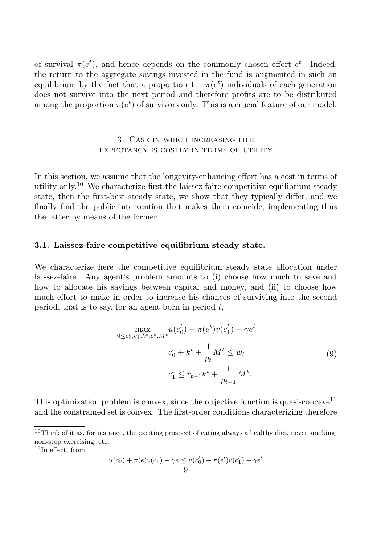of survival  $\pi(e^t)$ , and hence depends on the commonly chosen effort  $e^t$ . Indeed, the return to the aggregate savings invested in the fund is augmented in such an equilibrium by the fact that a proportion  $1 - \pi(e^t)$  individuals of each generation does not survive into the next period and therefore profits are to be distributed among the proportion  $\pi(e^t)$  of survivors only. This is a crucial feature of our model.

# 3. Case in which increasing life expectancy is costly in terms of utility

In this section, we assume that the longevity-enhancing effort has a cost in terms of utility only.<sup>10</sup> We characterize first the laissez-faire competitive equilibrium steady state, then the first-best steady state, we show that they typically differ, and we finally find the public intervention that makes them coincide, implementing thus the latter by means of the former.

### 3.1. Laissez-faire competitive equilibrium steady state.

We characterize here the competitive equilibrium steady state allocation under laissez-faire. Any agent's problem amounts to (i) choose how much to save and how to allocate his savings between capital and money, and (ii) to choose how much effort to make in order to increase his chances of surviving into the second period, that is to say, for an agent born in period  $t$ ,

$$
\max_{0 \le c_0^t, c_1^t, k^t, e^t, M^t} u(c_0^t) + \pi(e^t) v(c_1^t) - \gamma e^t
$$
  

$$
c_0^t + k^t + \frac{1}{p_t} M^t \le w_t
$$
  

$$
c_1^t \le r_{t+1} k^t + \frac{1}{p_{t+1}} M^t.
$$
 (9)

This optimization problem is convex, since the objective function is quasi-concave<sup>11</sup> and the constrained set is convex. The first-order conditions characterizing therefore

$$
u(c_0) + \pi(e)v(c_1) - \gamma e \le u(c'_0) + \pi(e')v(c'_1) - \gamma e'
$$
  
9

 $10$ Think of it as, for instance, the exciting prospect of eating always a healthy diet, never smoking, non-stop exercising, etc.

 $11$ In effect, from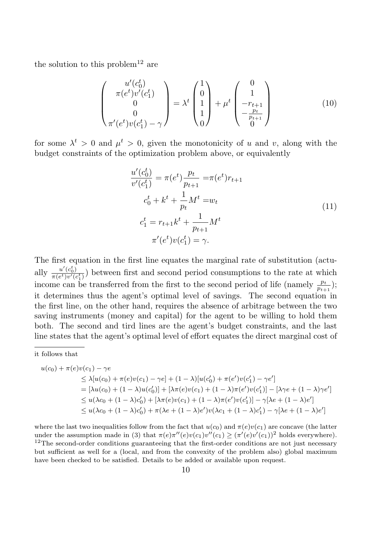the solution to this problem<sup>12</sup> are

$$
\begin{pmatrix} u'(c_0^t) \\ \pi(e^t)v'(c_1^t) \\ 0 \\ 0 \\ \pi'(e^t)v(c_1^t) - \gamma \end{pmatrix} = \lambda^t \begin{pmatrix} 1 \\ 0 \\ 1 \\ 1 \\ 0 \end{pmatrix} + \mu^t \begin{pmatrix} 0 \\ 1 \\ -r_{t+1} \\ -\frac{p_t}{p_{t+1}} \\ 0 \end{pmatrix}
$$
(10)

for some  $\lambda^t > 0$  and  $\mu^t > 0$ , given the monotonicity of u and v, along with the budget constraints of the optimization problem above, or equivalently

$$
\frac{u'(c_0^t)}{v'(c_1^t)} = \pi(e^t)\frac{p_t}{p_{t+1}} = \pi(e^t)r_{t+1}
$$
\n
$$
c_0^t + k^t + \frac{1}{p_t}M^t = w_t
$$
\n
$$
c_1^t = r_{t+1}k^t + \frac{1}{p_{t+1}}M^t
$$
\n
$$
\pi'(e^t)v(c_1^t) = \gamma.
$$
\n(11)

The first equation in the first line equates the marginal rate of substitution (actually  $\frac{u'(c_0^t)}{\pi(e^t)v'(a)}$  $\frac{u(c_0)}{\pi(e^t)v'(c_1^t)}$  between first and second period consumptions to the rate at which income can be transferred from the first to the second period of life (namely  $\frac{p_t}{p_{t+1}}$ ); it determines thus the agent's optimal level of savings. The second equation in the first line, on the other hand, requires the absence of arbitrage between the two saving instruments (money and capital) for the agent to be willing to hold them both. The second and tird lines are the agent's budget constraints, and the last line states that the agent's optimal level of effort equates the direct marginal cost of

$$
u(c_0) + \pi(e)v(c_1) - \gamma e
$$
  
\n
$$
\leq \lambda [u(c_0) + \pi(e)v(c_1) - \gamma e] + (1 - \lambda)[u(c'_0) + \pi(e')v(c'_1) - \gamma e']
$$
  
\n
$$
= [\lambda u(c_0) + (1 - \lambda)u(c'_0)] + [\lambda \pi(e)v(c_1) + (1 - \lambda)\pi(e')v(c'_1)] - [\lambda \gamma e + (1 - \lambda)\gamma e']
$$
  
\n
$$
\leq u(\lambda c_0 + (1 - \lambda)c'_0) + [\lambda \pi(e)v(c_1) + (1 - \lambda)\pi(e')v(c'_1)] - \gamma[\lambda e + (1 - \lambda)e']
$$
  
\n
$$
\leq u(\lambda c_0 + (1 - \lambda)c'_0) + \pi(\lambda e + (1 - \lambda)e')v(\lambda c_1 + (1 - \lambda)c'_1) - \gamma[\lambda e + (1 - \lambda)e']
$$

where the last two inequalities follow from the fact that  $u(c_0)$  and  $\pi(e)v(c_1)$  are concave (the latter under the assumption made in (3) that  $\pi(e)\pi''(e)v(c_1)v''(c_1) \geq (\pi'(e)v'(c_1))^2$  holds everywhere).  $12$ The second-order conditions guaranteeing that the first-order conditions are not just necessary but sufficient as well for a (local, and from the convexity of the problem also) global maximum have been checked to be satisfied. Details to be added or available upon request.

it follows that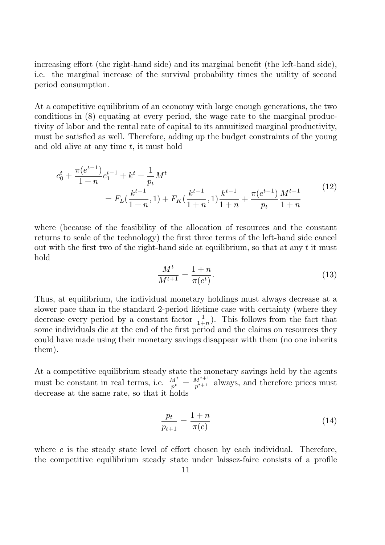increasing effort (the right-hand side) and its marginal benefit (the left-hand side), i.e. the marginal increase of the survival probability times the utility of second period consumption.

At a competitive equilibrium of an economy with large enough generations, the two conditions in (8) equating at every period, the wage rate to the marginal productivity of labor and the rental rate of capital to its annuitized marginal productivity, must be satisfied as well. Therefore, adding up the budget constraints of the young and old alive at any time  $t$ , it must hold

$$
c_0^t + \frac{\pi(e^{t-1})}{1+n} c_1^{t-1} + k^t + \frac{1}{p_t} M^t
$$
  
=  $F_L(\frac{k^{t-1}}{1+n}, 1) + F_K(\frac{k^{t-1}}{1+n}, 1) \frac{k^{t-1}}{1+n} + \frac{\pi(e^{t-1})}{p_t} \frac{M^{t-1}}{1+n}$  (12)

where (because of the feasibility of the allocation of resources and the constant returns to scale of the technology) the first three terms of the left-hand side cancel out with the first two of the right-hand side at equilibrium, so that at any  $t$  it must hold

$$
\frac{M^t}{M^{t+1}} = \frac{1+n}{\pi(e^t)}.
$$
\n(13)

Thus, at equilibrium, the individual monetary holdings must always decrease at a slower pace than in the standard 2-period lifetime case with certainty (where they decrease every period by a constant factor  $\frac{1}{1+n}$ ). This follows from the fact that some individuals die at the end of the first period and the claims on resources they could have made using their monetary savings disappear with them (no one inherits them).

At a competitive equilibrium steady state the monetary savings held by the agents must be constant in real terms, i.e.  $\frac{M^t}{p^t} = \frac{M^{t+1}}{p^{t+1}}$  always, and therefore prices must decrease at the same rate, so that it holds

$$
\frac{p_t}{p_{t+1}} = \frac{1+n}{\pi(e)}\tag{14}
$$

where e is the steady state level of effort chosen by each individual. Therefore, the competitive equilibrium steady state under laissez-faire consists of a profile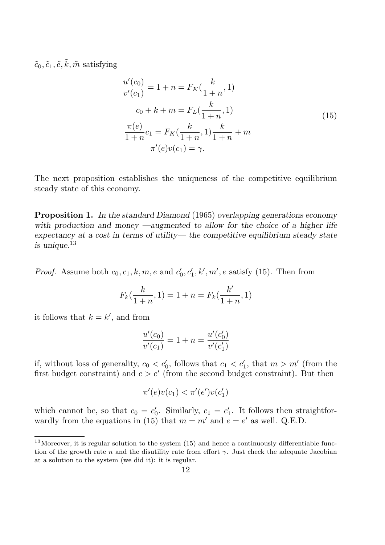$\tilde{c}_0, \tilde{c}_1, \tilde{e}, \tilde{k}, \tilde{m} \text{ satisfying}$ 

$$
\frac{u'(c_0)}{v'(c_1)} = 1 + n = F_K(\frac{k}{1+n}, 1)
$$
  
\n
$$
c_0 + k + m = F_L(\frac{k}{1+n}, 1)
$$
  
\n
$$
\frac{\pi(e)}{1+n}c_1 = F_K(\frac{k}{1+n}, 1)\frac{k}{1+n} + m
$$
  
\n
$$
\pi'(e)v(c_1) = \gamma.
$$
  
\n(15)

The next proposition establishes the uniqueness of the competitive equilibrium steady state of this economy.

**Proposition 1.** In the standard Diamond (1965) overlapping generations economy with production and money —augmented to allow for the choice of a higher life expectancy at a cost in terms of utility— the competitive equilibrium steady state is unique.<sup>13</sup>

*Proof.* Assume both  $c_0, c_1, k, m, e$  and  $c'_0$  $\mathcal{L}_0', c'_1, k', m', e$  satisfy (15). Then from

$$
F_k(\frac{k}{1+n}, 1) = 1 + n = F_k(\frac{k'}{1+n}, 1)
$$

it follows that  $k = k'$ , and from

$$
\frac{u'(c_0)}{v'(c_1)} = 1 + n = \frac{u'(c'_0)}{v'(c'_1)}
$$

if, without loss of generality,  $c_0 < c'_0$ , follows that  $c_1 < c'_1$ , that  $m > m'$  (from the first budget constraint) and  $e > e'$  (from the second budget constraint). But then

$$
\pi'(e)v(c_1) < \pi'(e')v(c_1')
$$

which cannot be, so that  $c_0 = c_0$  $c'_0$ . Similarly,  $c_1 = c'_1$  $\frac{1}{1}$ . It follows then straightforwardly from the equations in (15) that  $m = m'$  and  $e = e'$  as well. Q.E.D.

 $13$ Moreover, it is regular solution to the system (15) and hence a continuously differentiable function of the growth rate n and the disutility rate from effort  $\gamma$ . Just check the adequate Jacobian at a solution to the system (we did it): it is regular.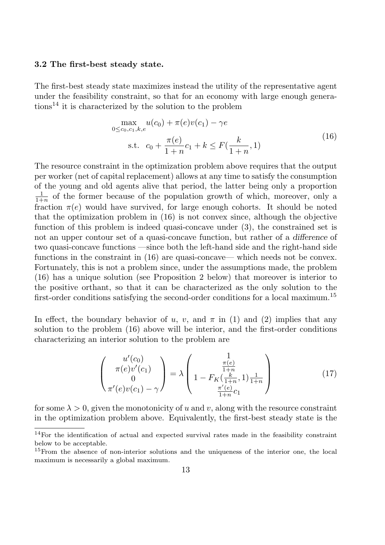### 3.2 The first-best steady state.

The first-best steady state maximizes instead the utility of the representative agent under the feasibility constraint, so that for an economy with large enough genera $tions<sup>14</sup>$  it is characterized by the solution to the problem

$$
\max_{0 \le c_0, c_1, k, e} u(c_0) + \pi(e)v(c_1) - \gamma e
$$
  
s.t.  $c_0 + \frac{\pi(e)}{1+n}c_1 + k \le F(\frac{k}{1+n}, 1)$  (16)

The resource constraint in the optimization problem above requires that the output per worker (net of capital replacement) allows at any time to satisfy the consumption of the young and old agents alive that period, the latter being only a proportion 1  $\frac{1}{1+n}$  of the former because of the population growth of which, moreover, only a fraction  $\pi(e)$  would have survived, for large enough cohorts. It should be noted that the optimization problem in (16) is not convex since, although the objective function of this problem is indeed quasi-concave under (3), the constrained set is not an upper contour set of a quasi-concave function, but rather of a difference of two quasi-concave functions —since both the left-hand side and the right-hand side functions in the constraint in (16) are quasi-concave— which needs not be convex. Fortunately, this is not a problem since, under the assumptions made, the problem (16) has a unique solution (see Proposition 2 below) that moreover is interior to the positive orthant, so that it can be characterized as the only solution to the first-order conditions satisfying the second-order conditions for a local maximum.<sup>15</sup>

In effect, the boundary behavior of u, v, and  $\pi$  in (1) and (2) implies that any solution to the problem (16) above will be interior, and the first-order conditions characterizing an interior solution to the problem are

$$
\begin{pmatrix} u'(c_0) \\ \pi(e)v'(c_1) \\ 0 \\ \pi'(e)v(c_1) - \gamma \end{pmatrix} = \lambda \begin{pmatrix} 1 \\ \frac{\pi(e)}{1+n} \\ 1 - F_K(\frac{k}{1+n}, 1) \frac{1}{1+n} \\ \frac{\pi'(e)}{1+n} c_1 \end{pmatrix}
$$
(17)

for some  $\lambda > 0$ , given the monotonicity of u and v, along with the resource constraint in the optimization problem above. Equivalently, the first-best steady state is the

<sup>&</sup>lt;sup>14</sup>For the identification of actual and expected survival rates made in the feasibility constraint below to be acceptable.

<sup>&</sup>lt;sup>15</sup>From the absence of non-interior solutions and the uniqueness of the interior one, the local maximum is necessarily a global maximum.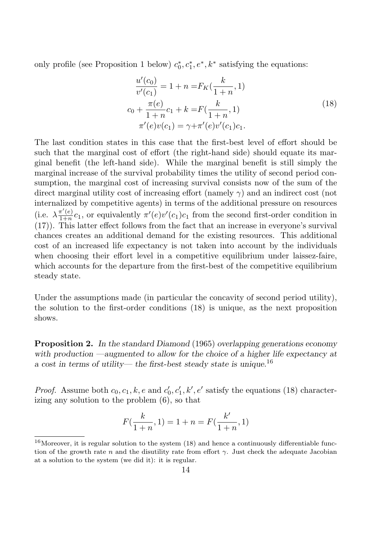only profile (see Proposition 1 below)  $c_0^*$  $x_0^*, c_1^*, e^*, k^*$  satisfying the equations:

$$
\frac{u'(c_0)}{v'(c_1)} = 1 + n = F_K(\frac{k}{1+n}, 1)
$$
  
\n
$$
c_0 + \frac{\pi(e)}{1+n}c_1 + k = F(\frac{k}{1+n}, 1)
$$
  
\n
$$
\pi'(e)v(c_1) = \gamma + \pi'(e)v'(c_1)c_1.
$$
\n(18)

The last condition states in this case that the first-best level of effort should be such that the marginal cost of effort (the right-hand side) should equate its marginal benefit (the left-hand side). While the marginal benefit is still simply the marginal increase of the survival probability times the utility of second period consumption, the marginal cost of increasing survival consists now of the sum of the direct marginal utility cost of increasing effort (namely  $\gamma$ ) and an indirect cost (not internalized by competitive agents) in terms of the additional pressure on resources (i.e.  $\lambda \frac{\pi'(e)}{1+n}$  $\frac{\pi'(e)}{1+n}c_1$ , or equivalently  $\pi'(e)v'(c_1)c_1$  from the second first-order condition in (17)). This latter effect follows from the fact that an increase in everyone's survival chances creates an additional demand for the existing resources. This additional cost of an increased life expectancy is not taken into account by the individuals when choosing their effort level in a competitive equilibrium under laissez-faire, which accounts for the departure from the first-best of the competitive equilibrium steady state.

Under the assumptions made (in particular the concavity of second period utility), the solution to the first-order conditions (18) is unique, as the next proposition shows.

**Proposition 2.** In the standard Diamond (1965) overlapping generations economy with production —augmented to allow for the choice of a higher life expectancy at a cost in terms of utility— the first-best steady state is unique.<sup>16</sup>

*Proof.* Assume both  $c_0, c_1, k, e$  and  $c'_0$  $\zeta_0, c'_1, k', e'$  satisfy the equations (18) characterizing any solution to the problem (6), so that

$$
F(\frac{k}{1+n},1) = 1+n = F(\frac{k'}{1+n},1)
$$

<sup>&</sup>lt;sup>16</sup>Moreover, it is regular solution to the system  $(18)$  and hence a continuously differentiable function of the growth rate n and the disutility rate from effort  $\gamma$ . Just check the adequate Jacobian at a solution to the system (we did it): it is regular.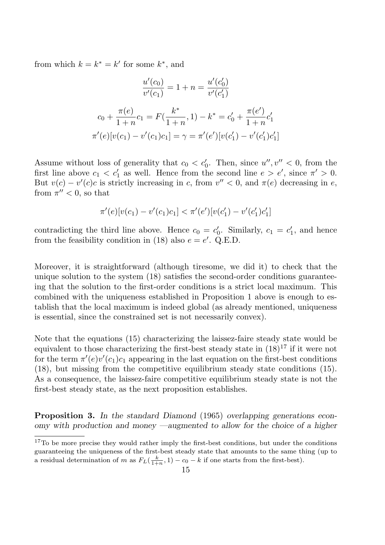from which  $k = k^* = k'$  for some  $k^*$ , and

$$
\frac{u'(c_0)}{v'(c_1)} = 1 + n = \frac{u'(c'_0)}{v'(c'_1)}
$$

$$
c_0 + \frac{\pi(e)}{1+n}c_1 = F(\frac{k^*}{1+n}, 1) - k^* = c'_0 + \frac{\pi(e')}{1+n}c'_1
$$

$$
\pi'(e)[v(c_1) - v'(c_1)c_1] = \gamma = \pi'(e')[v(c'_1) - v'(c'_1)c'_1]
$$

Assume without loss of generality that  $c_0 < c'_0$ . Then, since  $u''$ ,  $v'' < 0$ , from the first line above  $c_1 < c'_1$  as well. Hence from the second line  $e > e'$ , since  $\pi' > 0$ . But  $v(c) - v'(c)c$  is strictly increasing in c, from  $v'' < 0$ , and  $\pi(e)$  decreasing in e, from  $\pi'' < 0$ , so that

$$
\pi'(e)[v(c_1) - v'(c_1)c_1] < \pi'(e')[v(c_1') - v'(c_1')c_1']
$$

contradicting the third line above. Hence  $c_0 = c_0$  $c'_0$ . Similarly,  $c_1 = c'_1$  $x'_1$ , and hence from the feasibility condition in (18) also  $e = e'$ . Q.E.D.

Moreover, it is straightforward (although tiresome, we did it) to check that the unique solution to the system (18) satisfies the second-order conditions guaranteeing that the solution to the first-order conditions is a strict local maximum. This combined with the uniqueness established in Proposition 1 above is enough to establish that the local maximum is indeed global (as already mentioned, uniqueness is essential, since the constrained set is not necessarily convex).

Note that the equations (15) characterizing the laissez-faire steady state would be equivalent to those characterizing the first-best steady state in  $(18)^{17}$  if it were not for the term  $\pi'(e)v'(c_1)c_1$  appearing in the last equation on the first-best conditions (18), but missing from the competitive equilibrium steady state conditions (15). As a consequence, the laissez-faire competitive equilibrium steady state is not the first-best steady state, as the next proposition establishes.

Proposition 3. In the standard Diamond (1965) overlapping generations economy with production and money —augmented to allow for the choice of a higher

<sup>&</sup>lt;sup>17</sup>To be more precise they would rather imply the first-best conditions, but under the conditions guaranteeing the uniqueness of the first-best steady state that amounts to the same thing (up to a residual determination of m as  $F_L(\frac{k}{1+k})$  $\frac{k}{1+n}, 1) - c_0 - k$  if one starts from the first-best).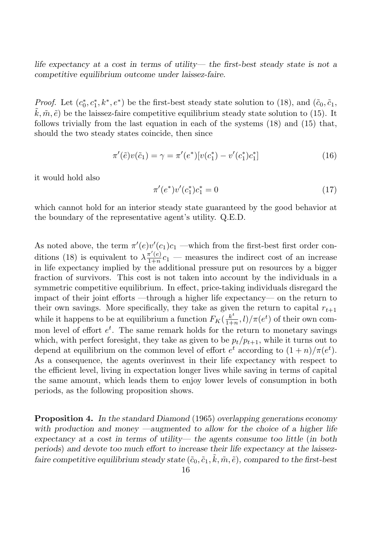life expectancy at a cost in terms of utility— the first-best steady state is not a competitive equilibrium outcome under laissez-faire.

*Proof.* Let  $(c_0^*)$  $(0, \tilde{c}_1, k^*, e^*)$  be the first-best steady state solution to (18), and  $(\tilde{c}_0, \tilde{c}_1, \tilde{c}_2)$  $k, \tilde{m}, \tilde{e}$  be the laissez-faire competitive equilibrium steady state solution to (15). It follows trivially from the last equation in each of the systems (18) and (15) that, should the two steady states coincide, then since

$$
\pi'(\tilde{e})v(\tilde{c}_1) = \gamma = \pi'(e^*)[v(c_1^*) - v'(c_1^*)c_1^*]
$$
\n(16)

it would hold also

$$
\pi'(e^*)v'(c_1^*)c_1^* = 0\tag{17}
$$

which cannot hold for an interior steady state guaranteed by the good behavior at the boundary of the representative agent's utility. Q.E.D.

As noted above, the term  $\pi'(e)v'(c_1)c_1$  —which from the first-best first order conditions (18) is equivalent to  $\lambda \frac{\pi'(e)}{1+n}$  $\frac{\pi(e)}{1+n}c_1$  — measures the indirect cost of an increase in life expectancy implied by the additional pressure put on resources by a bigger fraction of survivors. This cost is not taken into account by the individuals in a symmetric competitive equilibrium. In effect, price-taking individuals disregard the impact of their joint efforts —through a higher life expectancy— on the return to their own savings. More specifically, they take as given the return to capital  $r_{t+1}$ while it happens to be at equilibrium a function  $F_K(\frac{k^t}{1+k^t})$  $\frac{k^t}{1+n}, l)/\pi(e^t)$  of their own common level of effort  $e^t$ . The same remark holds for the return to monetary savings which, with perfect foresight, they take as given to be  $p_t/p_{t+1}$ , while it turns out to depend at equilibrium on the common level of effort  $e^t$  according to  $(1+n)/\pi(e^t)$ . As a consequence, the agents overinvest in their life expectancy with respect to the efficient level, living in expectation longer lives while saving in terms of capital the same amount, which leads them to enjoy lower levels of consumption in both periods, as the following proposition shows.

Proposition 4. In the standard Diamond (1965) overlapping generations economy with production and money —augmented to allow for the choice of a higher life expectancy at a cost in terms of utility— the agents consume too little (in both periods) and devote too much effort to increase their life expectancy at the laissezfaire competitive equilibrium steady state  $(\tilde{c}_0, \tilde{c}_1, \tilde{k}, \tilde{m}, \tilde{e})$ , compared to the first-best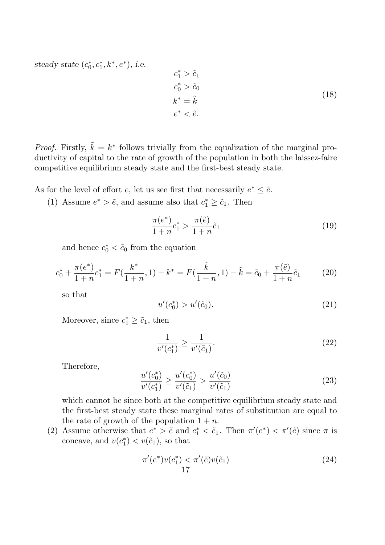steady state  $(c_0^*)$  $e_0^*, c_1^*, k^*, e^*$ ), i.e.

$$
c_1^* > \tilde{c}_1
$$
  
\n
$$
c_0^* > \tilde{c}_0
$$
  
\n
$$
k^* = \tilde{k}
$$
  
\n
$$
e^* < \tilde{e}.
$$
  
\n(18)

*Proof.* Firstly,  $\tilde{k} = k^*$  follows trivially from the equalization of the marginal productivity of capital to the rate of growth of the population in both the laissez-faire competitive equilibrium steady state and the first-best steady state.

As for the level of effort e, let us see first that necessarily  $e^* \leq \tilde{e}$ .

(1) Assume  $e^* > \tilde{e}$ , and assume also that  $c_1^* \geq \tilde{c}_1$ . Then

$$
\frac{\pi(e^*)}{1+n}c_1^* > \frac{\pi(\tilde{e})}{1+n}\tilde{c}_1\tag{19}
$$

and hence  $c_0^* < \tilde{c}_0$  from the equation

$$
c_0^* + \frac{\pi(e^*)}{1+n}c_1^* = F(\frac{k^*}{1+n}, 1) - k^* = F(\frac{\tilde{k}}{1+n}, 1) - \tilde{k} = \tilde{c}_0 + \frac{\pi(\tilde{e})}{1+n}\tilde{c}_1
$$
 (20)

so that

$$
u'(c_0^*) > u'(\tilde{c}_0). \tag{21}
$$

Moreover, since  $c_1^* \geq \tilde{c}_1$ , then

$$
\frac{1}{v'(c_1^*)} \ge \frac{1}{v'(\tilde{c}_1)}.\tag{22}
$$

Therefore,

$$
\frac{u'(c_0^*)}{v'(c_1^*)} \ge \frac{u'(c_0^*)}{v'(\tilde{c}_1)} > \frac{u'(\tilde{c}_0)}{v'(\tilde{c}_1)}
$$
\n(23)

which cannot be since both at the competitive equilibrium steady state and the first-best steady state these marginal rates of substitution are equal to the rate of growth of the population  $1 + n$ .

(2) Assume otherwise that  $e^* > \tilde{e}$  and  $c_1^* < \tilde{c}_1$ . Then  $\pi'(e^*) < \pi'(\tilde{e})$  since  $\pi$  is concave, and  $v(c_1^*)$  $\binom{*}{1} < v(\tilde{c}_1)$ , so that

$$
\pi'(e^*)v(c_1^*) < \pi'(\tilde{e})v(\tilde{c}_1) 17
$$
\n(24)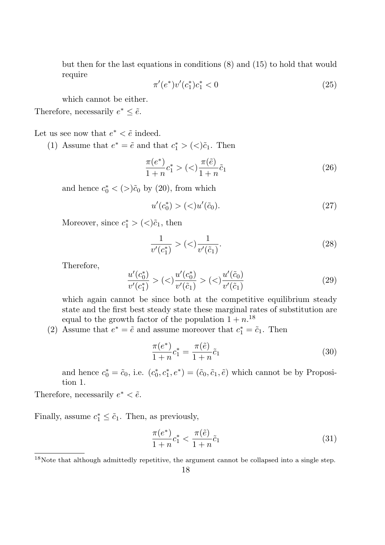but then for the last equations in conditions (8) and (15) to hold that would require

$$
\pi'(e^*)v'(c_1^*)c_1^* < 0\tag{25}
$$

which cannot be either.

Therefore, necessarily  $e^* \leq \tilde{e}$ .

Let us see now that  $e^* < \tilde{e}$  indeed.

(1) Assume that  $e^* = \tilde{e}$  and that  $c_1^* > \langle \langle \tilde{c}_1$ . Then

$$
\frac{\pi(e^*)}{1+n}c_1^* > \left( \langle \rangle \frac{\pi(\tilde{e})}{1+n} \tilde{c}_1 \right) \tag{26}
$$

and hence  $c_0^* < (>)\tilde{c}_0$  by (20), from which

$$
u'(c_0^*) > (<)u'(\tilde{c}_0). \tag{27}
$$

Moreover, since  $c_1^*$  >  $(<) \tilde{c}_1$ , then

$$
\frac{1}{v'(c_1^*)} > \left( \langle \rangle \frac{1}{v'(\tilde{c}_1)} \right). \tag{28}
$$

Therefore,

$$
\frac{u'(c_0^*)}{v'(c_1^*)} > \left( \langle \rangle \frac{u'(c_0^*)}{v'(\tilde{c}_1)} \right) > \left( \langle \rangle \frac{u'(\tilde{c}_0)}{v'(\tilde{c}_1)} \right) \tag{29}
$$

which again cannot be since both at the competitive equilibrium steady state and the first best steady state these marginal rates of substitution are equal to the growth factor of the population  $1 + n^{18}$ 

(2) Assume that  $e^* = \tilde{e}$  and assume moreover that  $c_1^* = \tilde{c}_1$ . Then

$$
\frac{\pi(e^*)}{1+n}c_1^* = \frac{\pi(\tilde{e})}{1+n}\tilde{c}_1\tag{30}
$$

and hence  $c_0^* = \tilde{c}_0$ , i.e.  $(c_0^*$  $(\tilde{c}_0, c_1^*, e^*) = (\tilde{c}_0, \tilde{c}_1, \tilde{e})$  which cannot be by Proposition 1.

Therefore, necessarily  $e^* < \tilde{e}$ .

Finally, assume  $c_1^* \leq \tilde{c}_1$ . Then, as previously,

$$
\frac{\pi(e^*)}{1+n}c_1^* < \frac{\pi(\tilde{e})}{1+n}\tilde{c}_1\tag{31}
$$

 $18$ Note that although admittedly repetitive, the argument cannot be collapsed into a single step.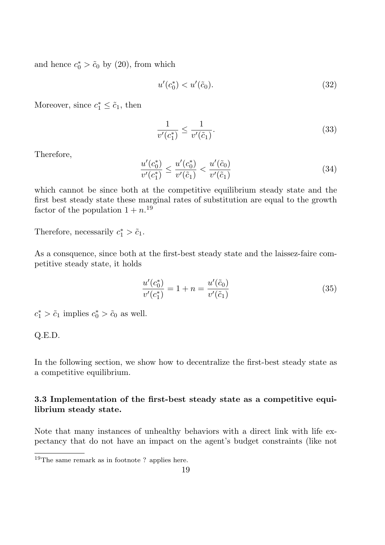and hence  $c_0^* > \tilde{c}_0$  by (20), from which

$$
u'(c_0^*) < u'(\tilde{c}_0). \tag{32}
$$

Moreover, since  $c_1^* \leq \tilde{c}_1$ , then

$$
\frac{1}{v'(c_1^*)} \le \frac{1}{v'(\tilde{c}_1)}.\tag{33}
$$

Therefore,

$$
\frac{u'(c_0^*)}{v'(c_1^*)} \le \frac{u'(c_0^*)}{v'(\tilde{c}_1)} < \frac{u'(\tilde{c}_0)}{v'(\tilde{c}_1)}\tag{34}
$$

which cannot be since both at the competitive equilibrium steady state and the first best steady state these marginal rates of substitution are equal to the growth factor of the population  $1 + n^{19}$ 

Therefore, necessarily  $c_1^* > \tilde{c}_1$ .

As a consquence, since both at the first-best steady state and the laissez-faire competitive steady state, it holds

$$
\frac{u'(c_0^*)}{v'(c_1^*)} = 1 + n = \frac{u'(\tilde{c}_0)}{v'(\tilde{c}_1)}
$$
\n(35)

 $c_1^* > \tilde{c}_1$  implies  $c_0^* > \tilde{c}_0$  as well.

$$
Q.E.D.
$$

In the following section, we show how to decentralize the first-best steady state as a competitive equilibrium.

# 3.3 Implementation of the first-best steady state as a competitive equilibrium steady state.

Note that many instances of unhealthy behaviors with a direct link with life expectancy that do not have an impact on the agent's budget constraints (like not

<sup>19</sup>The same remark as in footnote ? applies here.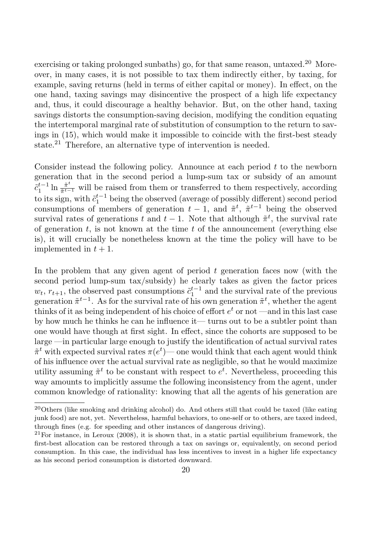exercising or taking prolonged sunbaths) go, for that same reason, untaxed.<sup>20</sup> Moreover, in many cases, it is not possible to tax them indirectly either, by taxing, for example, saving returns (held in terms of either capital or money). In effect, on the one hand, taxing savings may disincentive the prospect of a high life expectancy and, thus, it could discourage a healthy behavior. But, on the other hand, taxing savings distorts the consumption-saving decision, modifying the condition equating the intertemporal marginal rate of substitution of consumption to the return to savings in (15), which would make it impossible to coincide with the first-best steady state.<sup>21</sup> Therefore, an alternative type of intervention is needed.

Consider instead the following policy. Announce at each period  $t$  to the newborn generation that in the second period a lump-sum tax or subsidy of an amount  $\tilde{c}_1^{t-1}$  $t^{-1}$  ln  $\frac{\tilde{\pi}^t}{\tilde{\pi}^{t-1}}$  $\frac{\pi^{\nu}}{\tilde{\pi}^{t-1}}$  will be raised from them or transferred to them respectively, according to its sign, with  $\tilde{c}_1^{t-1}$  $i_{1}^{t-1}$  being the observed (average of possibly different) second period consumptions of members of generation  $t-1$ , and  $\tilde{\pi}^t$ ,  $\tilde{\pi}^{t-1}$  being the observed survival rates of generations t and  $t-1$ . Note that although  $\tilde{\pi}^t$ , the survival rate of generation  $t$ , is not known at the time  $t$  of the announcement (everything else is), it will crucially be nonetheless known at the time the policy will have to be implemented in  $t + 1$ .

In the problem that any given agent of period  $t$  generation faces now (with the second period lump-sum tax/subsidy) he clearly takes as given the factor prices  $w_t$ ,  $r_{t+1}$ , the observed past consumptions  $\tilde{c}_1^{t-1}$  $i_1^{t-1}$  and the survival rate of the previous generation  $\tilde{\pi}^{t-1}$ . As for the survival rate of his own generation  $\tilde{\pi}^t$ , whether the agent thinks of it as being independent of his choice of effort  $e^t$  or not —and in this last case by how much he thinks he can he influence it— turns out to be a subtler point than one would have though at first sight. In effect, since the cohorts are supposed to be large —in particular large enough to justify the identification of actual survival rates  $\tilde{\pi}^t$  with expected survival rates  $\pi(e^t)$ — one would think that each agent would think of his influence over the actual survival rate as negligible, so that he would maximize utility assuming  $\tilde{\pi}^t$  to be constant with respect to  $e^t$ . Nevertheless, proceeding this way amounts to implicitly assume the following inconsistency from the agent, under common knowledge of rationality: knowing that all the agents of his generation are

 $20$ Others (like smoking and drinking alcohol) do. And others still that could be taxed (like eating junk food) are not, yet. Nevertheless, harmful behaviors, to one-self or to others, are taxed indeed, through fines (e.g. for speeding and other instances of dangerous driving).

 $^{21}$ For instance, in Leroux (2008), it is shown that, in a static partial equilibrium framework, the first-best allocation can be restored through a tax on savings or, equivalently, on second period consumption. In this case, the individual has less incentives to invest in a higher life expectancy as his second period consumption is distorted downward.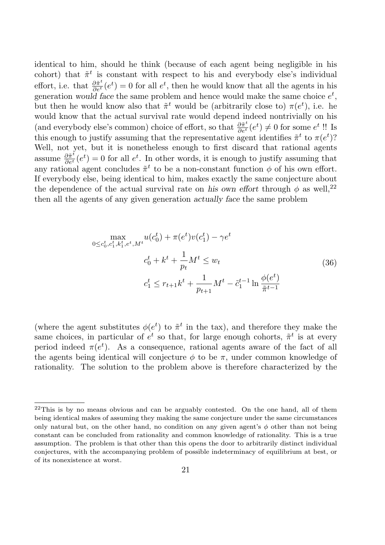identical to him, should he think (because of each agent being negligible in his cohort) that  $\tilde{\pi}^t$  is constant with respect to his and everybody else's individual effort, i.e. that  $\frac{\partial \tilde{\pi}^t}{\partial e^t}(e^t) = 0$  for all  $e^t$ , then he would know that all the agents in his generation would face the same problem and hence would make the same choice  $e^t$ , but then he would know also that  $\tilde{\pi}^t$  would be (arbitrarily close to)  $\pi(e^t)$ , i.e. he would know that the actual survival rate would depend indeed nontrivially on his (and everybody else's common) choice of effort, so that  $\frac{\partial \tilde{\pi}^t}{\partial e^t}(e^t) \neq 0$  for some  $e^t$ !! Is this enough to justify assuming that the representative agent identifies  $\tilde{\pi}^t$  to  $\pi(e^t)$ ? Well, not yet, but it is nonetheless enough to first discard that rational agents assume  $\frac{\partial \tilde{\pi}^t}{\partial e^t}(e^t) = 0$  for all  $e^t$ . In other words, it is enough to justify assuming that any rational agent concludes  $\tilde{\pi}^t$  to be a non-constant function  $\phi$  of his own effort. If everybody else, being identical to him, makes exactly the same conjecture about the dependence of the actual survival rate on his own effort through  $\phi$  as well,<sup>22</sup> then all the agents of any given generation actually face the same problem

$$
\max_{0 \le c_0^t, c_1^t, k_1^t, e^t, M^t} u(c_0^t) + \pi(e^t) v(c_1^t) - \gamma e^t
$$
\n
$$
c_0^t + k^t + \frac{1}{p_t} M^t \le w_t
$$
\n
$$
c_1^t \le r_{t+1} k^t + \frac{1}{p_{t+1}} M^t - \tilde{c}_1^{t-1} \ln \frac{\phi(e^t)}{\tilde{\pi}^{t-1}}
$$
\n(36)

(where the agent substitutes  $\phi(e^t)$  to  $\tilde{\pi}^t$  in the tax), and therefore they make the same choices, in particular of  $e^t$  so that, for large enough cohorts,  $\tilde{\pi}^t$  is at every period indeed  $\pi(e^t)$ . As a consequence, rational agents aware of the fact of all the agents being identical will conjecture  $\phi$  to be  $\pi$ , under common knowledge of rationality. The solution to the problem above is therefore characterized by the

 $22$ This is by no means obvious and can be arguably contested. On the one hand, all of them being identical makes of assuming they making the same conjecture under the same circumstances only natural but, on the other hand, no condition on any given agent's  $\phi$  other than not being constant can be concluded from rationality and common knowledge of rationality. This is a true assumption. The problem is that other than this opens the door to arbitrarily distinct individual conjectures, with the accompanying problem of possible indeterminacy of equilibrium at best, or of its nonexistence at worst.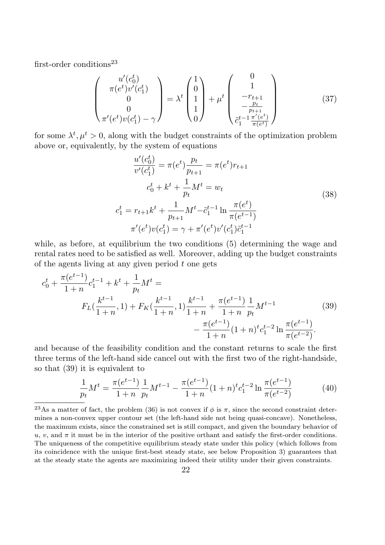first-order conditions<sup>23</sup>

$$
\begin{pmatrix} u'(c_0^t) \\ \pi(e^t)v'(c_1^t) \\ 0 \\ 0 \\ \pi'(e^t)v(c_1^t) - \gamma \end{pmatrix} = \lambda^t \begin{pmatrix} 1 \\ 0 \\ 1 \\ 1 \\ 0 \end{pmatrix} + \mu^t \begin{pmatrix} 0 \\ 1 \\ -r_{t+1} \\ -\frac{pt}{p_{t+1}} \\ \tilde{c}_1^{t-1} \frac{\pi'(e^t)}{\pi(e^t)} \end{pmatrix}
$$
(37)

for some  $\lambda^t, \mu^t > 0$ , along with the budget constraints of the optimization problem above or, equivalently, by the system of equations

$$
\frac{u'(c_0^t)}{v'(c_1^t)} = \pi(e^t)\frac{p_t}{p_{t+1}} = \pi(e^t)r_{t+1}
$$
  

$$
c_0^t + k^t + \frac{1}{p_t}M^t = w_t
$$
  

$$
c_1^t = r_{t+1}k^t + \frac{1}{p_{t+1}}M^t - \tilde{c}_1^{t-1}\ln\frac{\pi(e^t)}{\pi(e^{t-1})}
$$
  

$$
\pi'(e^t)v(c_1^t) = \gamma + \pi'(e^t)v'(c_1^t)\tilde{c}_1^{t-1}
$$
 (38)

while, as before, at equilibrium the two conditions  $(5)$  determining the wage and rental rates need to be satisfied as well. Moreover, adding up the budget constraints of the agents living at any given period  $t$  one gets

$$
c_0^t + \frac{\pi(e^{t-1})}{1+n}c_1^{t-1} + k^t + \frac{1}{p_t}M^t =
$$
  
\n
$$
F_L(\frac{k^{t-1}}{1+n}, 1) + F_K(\frac{k^{t-1}}{1+n}, 1)\frac{k^{t-1}}{1+n} + \frac{\pi(e^{t-1})}{1+n}\frac{1}{p_t}M^{t-1} - \frac{\pi(e^{t-1})}{1+n}(1+n)^t c_1^{t-2} \ln \frac{\pi(e^{t-1})}{\pi(e^{t-2})}.
$$
\n(39)

and because of the feasibility condition and the constant returns to scale the first three terms of the left-hand side cancel out with the first two of the right-handside, so that (39) it is equivalent to

$$
\frac{1}{p_t}M^t = \frac{\pi(e^{t-1})}{1+n} \frac{1}{p_t} M^{t-1} - \frac{\pi(e^{t-1})}{1+n} (1+n)^t c_1^{t-2} \ln \frac{\pi(e^{t-1})}{\pi(e^{t-2})}
$$
(40)

<sup>&</sup>lt;sup>23</sup>As a matter of fact, the problem (36) is not convex if  $\phi$  is  $\pi$ , since the second constraint determines a non-convex upper contour set (the left-hand side not being quasi-concave). Nonetheless, the maximum exists, since the constrained set is still compact, and given the boundary behavior of  $u, v$ , and  $\pi$  it must be in the interior of the positive orthant and satisfy the first-order conditions. The uniqueness of the competitive equilibrium steady state under this policy (which follows from its coincidence with the unique first-best steady state, see below Proposition 3) guarantees that at the steady state the agents are maximizing indeed their utility under their given constraints.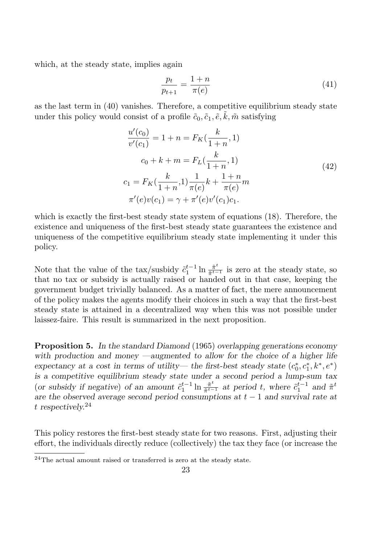which, at the steady state, implies again

$$
\frac{p_t}{p_{t+1}} = \frac{1+n}{\pi(e)}\tag{41}
$$

as the last term in (40) vanishes. Therefore, a competitive equilibrium steady state under this policy would consist of a profile  $\tilde{c}_0$ ,  $\tilde{c}_1$ ,  $\tilde{e}$ ,  $\tilde{k}$ ,  $\tilde{m}$  satisfying

$$
\frac{u'(c_0)}{v'(c_1)} = 1 + n = F_K(\frac{k}{1+n}, 1)
$$
  
\n
$$
c_0 + k + m = F_L(\frac{k}{1+n}, 1)
$$
  
\n
$$
c_1 = F_K(\frac{k}{1+n}, 1) \frac{1}{\pi(e)} k + \frac{1+n}{\pi(e)} m
$$
  
\n
$$
\pi'(e)v(c_1) = \gamma + \pi'(e)v'(c_1)c_1.
$$
  
\n(42)

which is exactly the first-best steady state system of equations (18). Therefore, the existence and uniqueness of the first-best steady state guarantees the existence and uniqueness of the competitive equilibrium steady state implementing it under this policy.

Note that the value of the tax/susbidy  $\tilde{c}_1^{t-1}$  $t^{-1}$  ln  $\frac{\tilde{\pi}^t}{\tilde{\pi}^{t-1}}$  $\frac{\pi^{\circ}}{\tilde{\pi}^{t-1}}$  is zero at the steady state, so that no tax or subsidy is actually raised or handed out in that case, keeping the government budget trivially balanced. As a matter of fact, the mere announcement of the policy makes the agents modify their choices in such a way that the first-best steady state is attained in a decentralized way when this was not possible under laissez-faire. This result is summarized in the next proposition.

Proposition 5. In the standard Diamond (1965) overlapping generations economy with production and money —augmented to allow for the choice of a higher life expectancy at a cost in terms of utility— the first-best steady state  $(c_0^*)$  $c_0^*, c_1^*, k^*, e^*$ is a competitive equilibrium steady state under a second period a lump-sum tax (or subsidy if negative) of an amount  $\tilde{c}_1^{t-1}$  $t^{-1}$  ln  $\frac{\tilde{\pi}^t}{\tilde{\pi}^{t-1}}$  $\frac{\tilde{\pi}^t}{\tilde{\pi}^{t-1}}$  at period t, where  $\tilde{c}_1^{t-1}$  $t_1^{t-1}$  and  $\tilde{\pi}^t$ are the observed average second period consumptions at  $t - 1$  and survival rate at t respectively.<sup>24</sup>

This policy restores the first-best steady state for two reasons. First, adjusting their effort, the individuals directly reduce (collectively) the tax they face (or increase the

 $24$ The actual amount raised or transferred is zero at the steady state.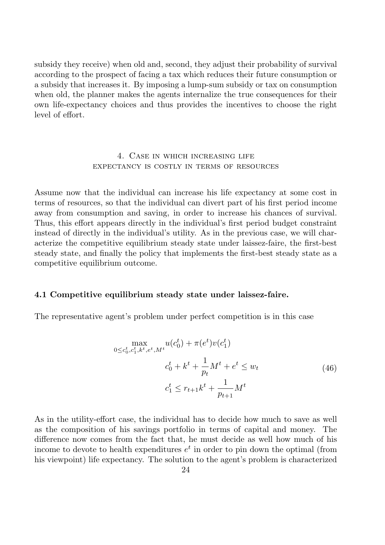subsidy they receive) when old and, second, they adjust their probability of survival according to the prospect of facing a tax which reduces their future consumption or a subsidy that increases it. By imposing a lump-sum subsidy or tax on consumption when old, the planner makes the agents internalize the true consequences for their own life-expectancy choices and thus provides the incentives to choose the right level of effort.

### 4. Case in which increasing life expectancy is costly in terms of resources

Assume now that the individual can increase his life expectancy at some cost in terms of resources, so that the individual can divert part of his first period income away from consumption and saving, in order to increase his chances of survival. Thus, this effort appears directly in the individual's first period budget constraint instead of directly in the individual's utility. As in the previous case, we will characterize the competitive equilibrium steady state under laissez-faire, the first-best steady state, and finally the policy that implements the first-best steady state as a competitive equilibrium outcome.

### 4.1 Competitive equilibrium steady state under laissez-faire.

The representative agent's problem under perfect competition is in this case

$$
\max_{0 \le c_0^t, c_1^t, k^t, e^t, M^t} u(c_0^t) + \pi(e^t) v(c_1^t)
$$
  

$$
c_0^t + k^t + \frac{1}{p_t} M^t + e^t \le w_t
$$
  

$$
c_1^t \le r_{t+1} k^t + \frac{1}{p_{t+1}} M^t
$$
 (46)

As in the utility-effort case, the individual has to decide how much to save as well as the composition of his savings portfolio in terms of capital and money. The difference now comes from the fact that, he must decide as well how much of his income to devote to health expenditures  $e^t$  in order to pin down the optimal (from his viewpoint) life expectancy. The solution to the agent's problem is characterized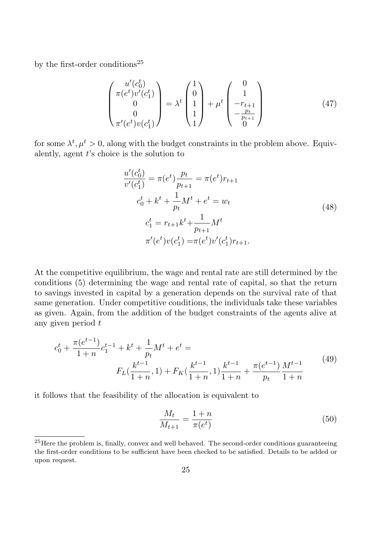by the first-order conditions<sup>25</sup>

$$
\begin{pmatrix} u'(c_0^t) \\ \pi(e^t)v'(c_1^t) \\ 0 \\ 0 \\ \pi'(e^t)v(c_1^t) \end{pmatrix} = \lambda^t \begin{pmatrix} 1 \\ 0 \\ 1 \\ 1 \end{pmatrix} + \mu^t \begin{pmatrix} 0 \\ 1 \\ -r_{t+1} \\ -\frac{pt}{p_{t+1}} \\ 0 \end{pmatrix}
$$
(47)

for some  $\lambda^t, \mu^t > 0$ , along with the budget constraints in the problem above. Equivalently, agent  $t$ 's choice is the solution to

$$
\frac{u'(c_0^t)}{v'(c_1^t)} = \pi(e^t)\frac{p_t}{p_{t+1}} = \pi(e^t)r_{t+1}
$$
  
\n
$$
c_0^t + k^t + \frac{1}{p_t}M^t + e^t = w_t
$$
  
\n
$$
c_1^t = r_{t+1}k^t + \frac{1}{p_{t+1}}M^t
$$
  
\n
$$
\pi'(e^t)v(c_1^t) = \pi(e^t)v'(c_1^t)r_{t+1}.
$$
\n(48)

At the competitive equilibrium, the wage and rental rate are still determined by the conditions (5) determining the wage and rental rate of capital, so that the return to savings invested in capital by a generation depends on the survival rate of that same generation. Under competitive conditions, the individuals take these variables as given. Again, from the addition of the budget constraints of the agents alive at any given period t

$$
c_0^t + \frac{\pi(e^{t-1})}{1+n}c_1^{t-1} + k^t + \frac{1}{p_t}M^t + e^t =
$$
  

$$
F_L(\frac{k^{t-1}}{1+n}, 1) + F_K(\frac{k^{t-1}}{1+n}, 1)\frac{k^{t-1}}{1+n} + \frac{\pi(e^{t-1})}{p_t}\frac{M^{t-1}}{1+n}
$$
(49)

it follows that the feasibility of the allocation is equivalent to

$$
\frac{M_t}{M_{t+1}} = \frac{1+n}{\pi(e^t)}
$$
\n(50)

 $^{25}$ Here the problem is, finally, convex and well behaved. The second-order conditions guaranteeing the first-order conditions to be sufficient have been checked to be satisfied. Details to be added or upon request.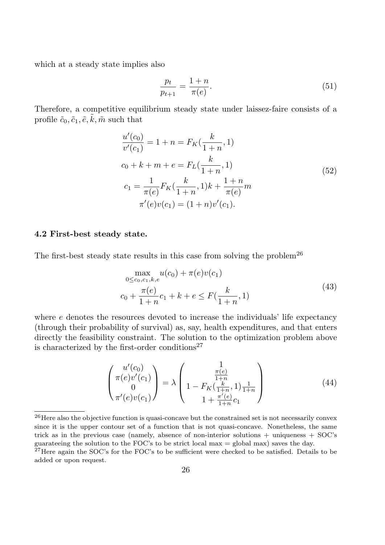which at a steady state implies also

$$
\frac{p_t}{p_{t+1}} = \frac{1+n}{\pi(e)}.\t(51)
$$

Therefore, a competitive equilibrium steady state under laissez-faire consists of a profile  $\tilde{c}_0, \tilde{c}_1, \tilde{e}, \tilde{k}, \tilde{m}$  such that

$$
\frac{u'(c_0)}{v'(c_1)} = 1 + n = F_K(\frac{k}{1+n}, 1)
$$
  
\n
$$
c_0 + k + m + e = F_L(\frac{k}{1+n}, 1)
$$
  
\n
$$
c_1 = \frac{1}{\pi(e)} F_K(\frac{k}{1+n}, 1)k + \frac{1+n}{\pi(e)} m
$$
  
\n
$$
\pi'(e)v(c_1) = (1+n)v'(c_1).
$$
\n(52)

### 4.2 First-best steady state.

The first-best steady state results in this case from solving the problem<sup>26</sup>

$$
\max_{0 \le c_0, c_1, k, e} u(c_0) + \pi(e)v(c_1)
$$
  

$$
c_0 + \frac{\pi(e)}{1+n}c_1 + k + e \le F(\frac{k}{1+n}, 1)
$$
 (43)

where e denotes the resources devoted to increase the individuals' life expectancy (through their probability of survival) as, say, health expenditures, and that enters directly the feasibility constraint. The solution to the optimization problem above is characterized by the first-order conditions<sup>27</sup>

$$
\begin{pmatrix} u'(c_0) \\ \pi(e)v'(c_1) \\ 0 \\ \pi'(e)v(c_1) \end{pmatrix} = \lambda \begin{pmatrix} 1 \\ \frac{\pi(e)}{1+n} \\ 1 - F_K(\frac{k}{1+n}, 1) \frac{1}{1+n} \\ 1 + \frac{\pi'(e)}{1+n} c_1 \end{pmatrix}
$$
(44)

 $^{26}$ Here also the objective function is quasi-concave but the constrained set is not necessarily convex since it is the upper contour set of a function that is not quasi-concave. Nonetheless, the same trick as in the previous case (namely, absence of non-interior solutions  $+$  uniqueness  $+$  SOC's guarateeing the solution to the FOC's to be strict local max  $=$  global max) saves the day.

 $27$  Here again the SOC's for the FOC's to be sufficient were checked to be satisfied. Details to be added or upon request.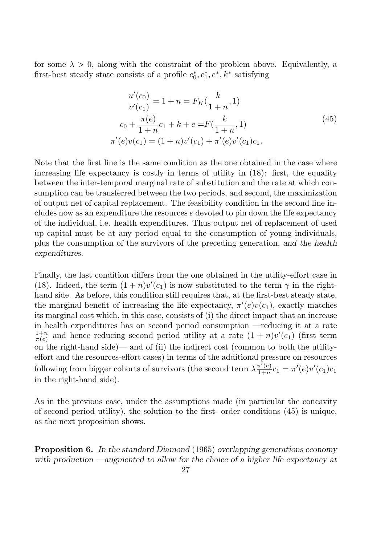for some  $\lambda > 0$ , along with the constraint of the problem above. Equivalently, a first-best steady state consists of a profile  $c_0^*$  $c_0^*, c_1^*, e^*, k^*$  satisfying

$$
\frac{u'(c_0)}{v'(c_1)} = 1 + n = F_K(\frac{k}{1+n}, 1)
$$
  
\n
$$
c_0 + \frac{\pi(e)}{1+n}c_1 + k + e = F(\frac{k}{1+n}, 1)
$$
  
\n
$$
\pi'(e)v(c_1) = (1+n)v'(c_1) + \pi'(e)v'(c_1)c_1.
$$
\n(45)

Note that the first line is the same condition as the one obtained in the case where increasing life expectancy is costly in terms of utility in (18): first, the equality between the inter-temporal marginal rate of substitution and the rate at which consumption can be transferred between the two periods, and second, the maximization of output net of capital replacement. The feasibility condition in the second line includes now as an expenditure the resources e devoted to pin down the life expectancy of the individual, i.e. health expenditures. Thus output net of replacement of used up capital must be at any period equal to the consumption of young individuals, plus the consumption of the survivors of the preceding generation, and the health expenditures.

Finally, the last condition differs from the one obtained in the utility-effort case in (18). Indeed, the term  $(1 + n)v'(c_1)$  is now substituted to the term  $\gamma$  in the righthand side. As before, this condition still requires that, at the first-best steady state, the marginal benefit of increasing the life expectancy,  $\pi'(e)v(c_1)$ , exactly matches its marginal cost which, in this case, consists of (i) the direct impact that an increase in health expenditures has on second period consumption —reducing it at a rate  $1+n$  $\frac{1+n}{\pi(e)}$  and hence reducing second period utility at a rate  $(1+n)v'(c_1)$  (first term on the right-hand side)— and of (ii) the indirect cost (common to both the utilityeffort and the resources-effort cases) in terms of the additional pressure on resources following from bigger cohorts of survivors (the second term  $\lambda \frac{\pi'(e)}{1+r}$  $\frac{\pi'(e)}{1+n}c_1 = \pi'(e)v'(c_1)c_1$ in the right-hand side).

As in the previous case, under the assumptions made (in particular the concavity of second period utility), the solution to the first- order conditions (45) is unique, as the next proposition shows.

**Proposition 6.** In the standard Diamond (1965) overlapping generations economy with production —augmented to allow for the choice of a higher life expectancy at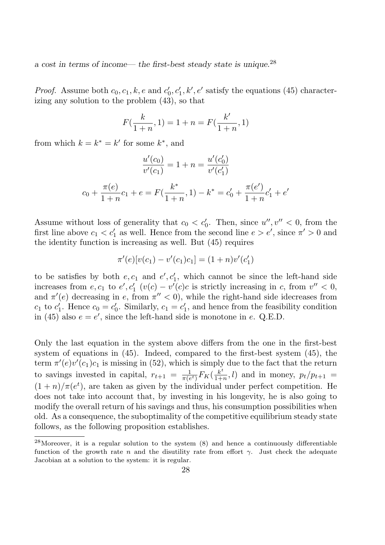a cost in terms of income— the first-best steady state is unique.<sup>28</sup>

*Proof.* Assume both  $c_0, c_1, k, e$  and  $c'_0$  $\zeta_0, c'_1, k', e'$  satisfy the equations (45) characterizing any solution to the problem (43), so that

$$
F(\frac{k}{1+n}, 1) = 1 + n = F(\frac{k'}{1+n}, 1)
$$

from which  $k = k^* = k'$  for some  $k^*$ , and

$$
\frac{u'(c_0)}{v'(c_1)} = 1 + n = \frac{u'(c'_0)}{v'(c'_1)}
$$

$$
c_0 + \frac{\pi(e)}{1+n}c_1 + e = F(\frac{k^*}{1+n}, 1) - k^* = c'_0 + \frac{\pi(e')}{1+n}c'_1 + e'
$$

Assume without loss of generality that  $c_0 < c'_0$ . Then, since  $u''$ ,  $v'' < 0$ , from the first line above  $c_1 < c'_1$  as well. Hence from the second line  $e > e'$ , since  $\pi' > 0$  and the identity function is increasing as well. But (45) requires

$$
\pi'(e)[v(c_1) - v'(c_1)c_1] = (1+n)v'(c'_1)
$$

to be satisfies by both  $e, c_1$  and  $e', c'_1$ , which cannot be since the left-hand side increases from  $e, c_1$  to  $e', c'_1$   $(v(c) - v'(c)c$  is strictly increasing in c, from  $v'' < 0$ , and  $\pi'(e)$  decreasing in e, from  $\pi'' < 0$ , while the right-hand side idecreases from  $c_1$  to  $c_1'$  $c_1'$ . Hence  $c_0 = c_0'$  $c_0'$ . Similarly,  $c_1 = c_1'$  $\mathbf{I}'_1$ , and hence from the feasibility condition in (45) also  $e = e'$ , since the left-hand side is monotone in e. Q.E.D.

Only the last equation in the system above differs from the one in the first-best system of equations in (45). Indeed, compared to the first-best system (45), the term  $\pi'(e)v'(c_1)c_1$  is missing in (52), which is simply due to the fact that the return to savings invested in capital,  $r_{t+1} = \frac{1}{\pi(e)}$  $\frac{1}{\pi(e^t)}F_K(\frac{k^t}{1+t})$  $\frac{k^2}{1+n}$ , *l*) and in money,  $p_t/p_{t+1}$  =  $(1+n)/\pi(e^t)$ , are taken as given by the individual under perfect competition. He does not take into account that, by investing in his longevity, he is also going to modify the overall return of his savings and thus, his consumption possibilities when old. As a consequence, the suboptimality of the competitive equilibrium steady state follows, as the following proposition establishes.

 $28$ Moreover, it is a regular solution to the system  $(8)$  and hence a continuously differentiable function of the growth rate n and the disutility rate from effort  $\gamma$ . Just check the adequate Jacobian at a solution to the system: it is regular.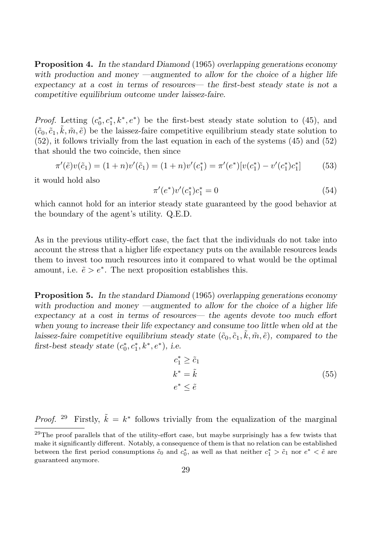Proposition 4. In the standard Diamond (1965) overlapping generations economy with production and money —augmented to allow for the choice of a higher life expectancy at a cost in terms of resources— the first-best steady state is not a competitive equilibrium outcome under laissez-faire.

*Proof.* Letting  $(c_0^*)$  $\chi_0^*, c_1^*, k^*, e^*$  be the first-best steady state solution to (45), and  $(\tilde{c}_0, \tilde{c}_1, \tilde{k}, \tilde{m}, \tilde{e})$  be the laissez-faire competitive equilibrium steady state solution to (52), it follows trivially from the last equation in each of the systems (45) and (52) that should the two coincide, then since

$$
\pi'(\tilde{e})v(\tilde{c}_1) = (1+n)v'(\tilde{c}_1) = (1+n)v'(c_1^*) = \pi'(e^*)[v(c_1^*) - v'(c_1^*)c_1^*]
$$
(53)

it would hold also

$$
\pi'(e^*)v'(c_1^*)c_1^* = 0\tag{54}
$$

which cannot hold for an interior steady state guaranteed by the good behavior at the boundary of the agent's utility. Q.E.D.

As in the previous utility-effort case, the fact that the individuals do not take into account the stress that a higher life expectancy puts on the available resources leads them to invest too much resources into it compared to what would be the optimal amount, i.e.  $\tilde{e} > e^*$ . The next proposition establishes this.

Proposition 5. In the standard Diamond (1965) overlapping generations economy with production and money —augmented to allow for the choice of a higher life expectancy at a cost in terms of resources— the agents devote too much effort when young to increase their life expectancy and consume too little when old at the laissez-faire competitive equilibrium steady state  $(\tilde{c}_0, \tilde{c}_1, \tilde{k}, \tilde{m}, \tilde{e})$ , compared to the first-best steady state  $(c_0^*)$  $e_0^*, c_1^*, k^*, e^*$ ), i.e.

$$
c_1^* \ge \tilde{c}_1
$$
  
\n
$$
k^* = \tilde{k}
$$
  
\n
$$
e^* \le \tilde{e}
$$
  
\n(55)

*Proof.* <sup>29</sup> Firstly,  $\tilde{k} = k^*$  follows trivially from the equalization of the marginal

 $29$ The proof parallels that of the utility-effort case, but maybe surprisingly has a few twists that make it significantly different. Notably, a consequence of them is that no relation can be established between the first period consumptions  $\tilde{c}_0$  and  $c_0^*$ , as well as that neither  $c_1^* > \tilde{c}_1$  nor  $e^* < \tilde{e}$  are guaranteed anymore.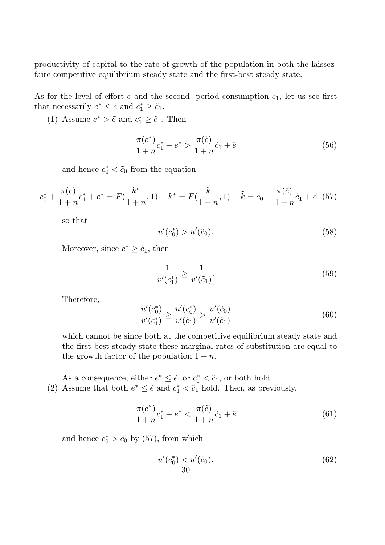productivity of capital to the rate of growth of the population in both the laissezfaire competitive equilibrium steady state and the first-best steady state.

As for the level of effort e and the second -period consumption  $c_1$ , let us see first that necessarily  $e^* \leq \tilde{e}$  and  $c_1^* \geq \tilde{c}_1$ .

(1) Assume  $e^* > \tilde{e}$  and  $c_1^* \geq \tilde{c}_1$ . Then

$$
\frac{\pi(e^*)}{1+n}c_1^* + e^* > \frac{\pi(\tilde{e})}{1+n}\tilde{c}_1 + \tilde{e}
$$
\n(56)

and hence  $c_0^* < \tilde{c}_0$  from the equation

$$
c_0^* + \frac{\pi(e)}{1+n}c_1^* + e^* = F(\frac{k^*}{1+n}, 1) - k^* = F(\frac{\tilde{k}}{1+n}, 1) - \tilde{k} = \tilde{c}_0 + \frac{\pi(\tilde{e})}{1+n}\tilde{c}_1 + \tilde{e} \quad (57)
$$

so that

$$
u'(c_0^*) > u'(\tilde{c}_0). \tag{58}
$$

Moreover, since  $c_1^* \geq \tilde{c}_1$ , then

$$
\frac{1}{v'(c_1^*)} \ge \frac{1}{v'(\tilde{c}_1)}.\tag{59}
$$

Therefore,

$$
\frac{u'(c_0^*)}{v'(c_1^*)} \ge \frac{u'(c_0^*)}{v'(\tilde{c}_1)} > \frac{u'(\tilde{c}_0)}{v'(\tilde{c}_1)}
$$
\n(60)

which cannot be since both at the competitive equilibrium steady state and the first best steady state these marginal rates of substitution are equal to the growth factor of the population  $1 + n$ .

As a consequence, either  $e^* \leq \tilde{e}$ , or  $c_1^* < \tilde{c}_1$ , or both hold. (2) Assume that both  $e^* \leq \tilde{e}$  and  $c_1^* < \tilde{c}_1$  hold. Then, as previously,

$$
\frac{\pi(e^*)}{1+n}c_1^* + e^* < \frac{\pi(\tilde{e})}{1+n}\tilde{c}_1 + \tilde{e} \tag{61}
$$

and hence  $c_0^* > \tilde{c}_0$  by (57), from which

$$
u'(c_0^*) < u'(\tilde{c}_0). \tag{62}
$$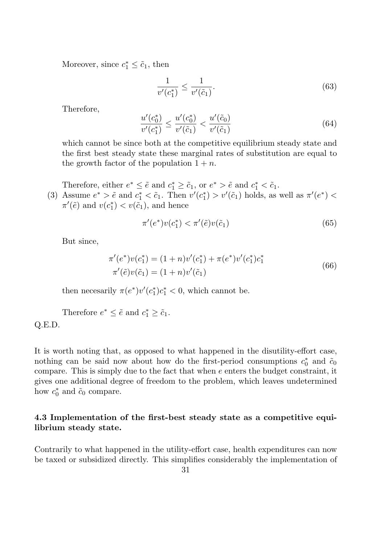Moreover, since  $c_1^* \leq \tilde{c}_1$ , then

$$
\frac{1}{v'(c_1^*)} \le \frac{1}{v'(\tilde{c}_1)}.\tag{63}
$$

Therefore,

$$
\frac{u'(c_0^*)}{v'(c_1^*)} \le \frac{u'(c_0^*)}{v'(\tilde{c}_1)} < \frac{u'(\tilde{c}_0)}{v'(\tilde{c}_1)}\tag{64}
$$

which cannot be since both at the competitive equilibrium steady state and the first best steady state these marginal rates of substitution are equal to the growth factor of the population  $1 + n$ .

Therefore, either  $e^* \leq \tilde{e}$  and  $c_1^* \geq \tilde{c}_1$ , or  $e^* > \tilde{e}$  and  $c_1^* < \tilde{c}_1$ .

(3) Assume  $e^* > \tilde{e}$  and  $c_1^* < \tilde{c}_1$ . Then  $v'(c_1^*)$  $\binom{1}{1}$  >  $v'(\tilde{c}_1)$  holds, as well as  $\pi'(e^*)$  <  $\pi'(\tilde{e})$  and  $v(c_1^*)$  $t_1^*$  <  $v(\tilde{c}_1)$ , and hence

$$
\pi'(e^*)v(c_1^*) < \pi'(\tilde{e})v(\tilde{c}_1)
$$
\n
$$
(65)
$$

But since,

$$
\pi'(e^*)v(c_1^*) = (1+n)v'(c_1^*) + \pi(e^*)v'(c_1^*)c_1^*
$$
  

$$
\pi'(\tilde{e})v(\tilde{c}_1) = (1+n)v'(\tilde{c}_1)
$$
\n(66)

then necesarily  $\pi(e^*)v'(c_1^*)$  $\binom{*}{1}c_1^* < 0$ , which cannot be.

Therefore  $e^* \leq \tilde{e}$  and  $c_1^* \geq \tilde{c}_1$ . Q.E.D.

It is worth noting that, as opposed to what happened in the disutility-effort case, nothing can be said now about how do the first-period consumptions  $c_0^*$  $\tilde{c}_0^*$  and  $\tilde{c}_0$ compare. This is simply due to the fact that when e enters the budget constraint, it gives one additional degree of freedom to the problem, which leaves undetermined how  $c_0^*$  $\zeta_0^*$  and  $\tilde{c}_0$  compare.

# 4.3 Implementation of the first-best steady state as a competitive equilibrium steady state.

Contrarily to what happened in the utility-effort case, health expenditures can now be taxed or subsidized directly. This simplifies considerably the implementation of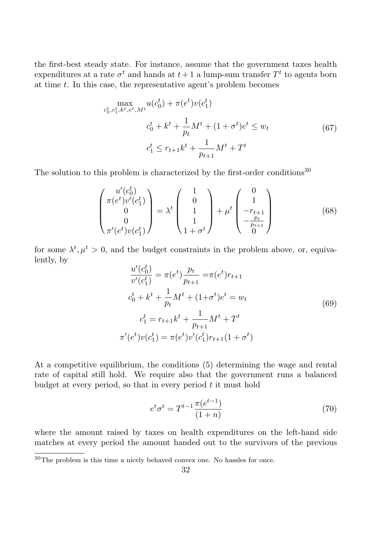the first-best steady state. For instance, assume that the government taxes health expenditures at a rate  $\sigma^t$  and hands at  $t+1$  a lump-sum transfer  $T^t$  to agents born at time  $t$ . In this case, the representative agent's problem becomes

$$
\max_{c_0^t, c_1^t, k^t, e^t, M^t} u(c_0^t) + \pi(e^t) v(c_1^t)
$$
\n
$$
c_0^t + k^t + \frac{1}{p_t} M^t + (1 + \sigma^t) e^t \le w_t
$$
\n
$$
c_1^t \le r_{t+1} k^t + \frac{1}{p_{t+1}} M^t + T^t
$$
\n(67)

The solution to this problem is characterized by the first-order conditions<sup>30</sup>

$$
\begin{pmatrix} u'(c_0^t) \\ \pi(e^t)v'(c_1^t) \\ 0 \\ 0 \\ \pi'(e^t)v(c_1^t) \end{pmatrix} = \lambda^t \begin{pmatrix} 1 \\ 0 \\ 1 \\ 1 \\ 1 + \sigma^t \end{pmatrix} + \mu^t \begin{pmatrix} 0 \\ 1 \\ -r_{t+1} \\ -\frac{p_t}{p_{t+1}} \\ 0 \end{pmatrix}
$$
(68)

for some  $\lambda^t, \mu^t > 0$ , and the budget constraints in the problem above, or, equivalently, by

$$
\frac{u'(c_0^t)}{v'(c_1^t)} = \pi(e^t) \frac{p_t}{p_{t+1}} = \pi(e^t) r_{t+1}
$$
  
\n
$$
c_0^t + k^t + \frac{1}{p_t} M^t + (1 + \sigma^t) e^t = w_t
$$
  
\n
$$
c_1^t = r_{t+1} k^t + \frac{1}{p_{t+1}} M^t + T^t
$$
  
\n
$$
\pi'(e^t) v(c_1^t) = \pi(e^t) v'(c_1^t) r_{t+1} (1 + \sigma^t)
$$
\n(69)

At a competitive equilibrium, the conditions (5) determining the wage and rental rate of capital still hold. We require also that the government runs a balanced budget at every period, so that in every period  $t$  it must hold

$$
e^t \sigma^t = T^{t-1} \frac{\pi(e^{t-1})}{(1+n)}
$$
\n(70)

where the amount raised by taxes on health expenditures on the left-hand side matches at every period the amount handed out to the survivors of the previous

<sup>30</sup>The problem is this time a nicely behaved convex one. No hassles for once.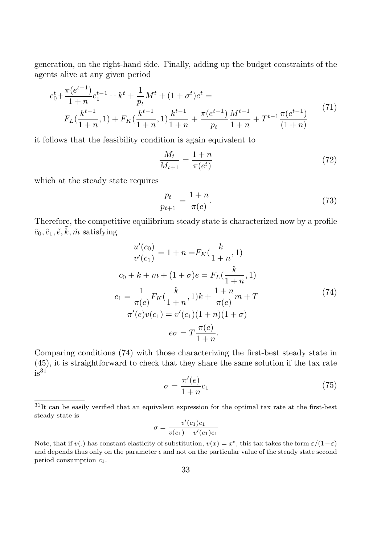generation, on the right-hand side. Finally, adding up the budget constraints of the agents alive at any given period

$$
c_0^t + \frac{\pi(e^{t-1})}{1+n} c_1^{t-1} + k^t + \frac{1}{p_t} M^t + (1 + \sigma^t) e^t =
$$
  
\n
$$
F_L(\frac{k^{t-1}}{1+n}, 1) + F_K(\frac{k^{t-1}}{1+n}, 1) \frac{k^{t-1}}{1+n} + \frac{\pi(e^{t-1})}{p_t} \frac{M^{t-1}}{1+n} + T^{t-1} \frac{\pi(e^{t-1})}{(1+n)}
$$
\n(71)

it follows that the feasibility condition is again equivalent to

$$
\frac{M_t}{M_{t+1}} = \frac{1+n}{\pi(e^t)}
$$
\n(72)

which at the steady state requires

$$
\frac{p_t}{p_{t+1}} = \frac{1+n}{\pi(e)}.\t(73)
$$

Therefore, the competitive equilibrium steady state is characterized now by a profile  $\tilde{c}_0, \tilde{c}_1, \tilde{e}, \tilde{k}, \tilde{m}$  satisfying

$$
\frac{u'(c_0)}{v'(c_1)} = 1 + n = F_K(\frac{k}{1+n}, 1)
$$
  
\n
$$
c_0 + k + m + (1 + \sigma)e = F_L(\frac{k}{1+n}, 1)
$$
  
\n
$$
c_1 = \frac{1}{\pi(e)} F_K(\frac{k}{1+n}, 1)k + \frac{1+n}{\pi(e)} m + T
$$
  
\n
$$
\pi'(e)v(c_1) = v'(c_1)(1+n)(1+\sigma)
$$
  
\n
$$
e\sigma = T \frac{\pi(e)}{1+n}.
$$
\n(74)

Comparing conditions (74) with those characterizing the first-best steady state in (45), it is straightforward to check that they share the same solution if the tax rate  $is<sup>31</sup>$ 

$$
\sigma = \frac{\pi'(e)}{1+n}c_1\tag{75}
$$

$$
\sigma = \frac{v'(c_1)c_1}{v(c_1) - v'(c_1)c_1}
$$

<sup>31</sup>It can be easily verified that an equivalent expression for the optimal tax rate at the first-best steady state is

Note, that if  $v(.)$  has constant elasticity of substitution,  $v(x) = x^{\epsilon}$ , this tax takes the form  $\varepsilon/(1-\varepsilon)$ and depends thus only on the parameter  $\epsilon$  and not on the particular value of the steady state second period consumption  $c_1$ .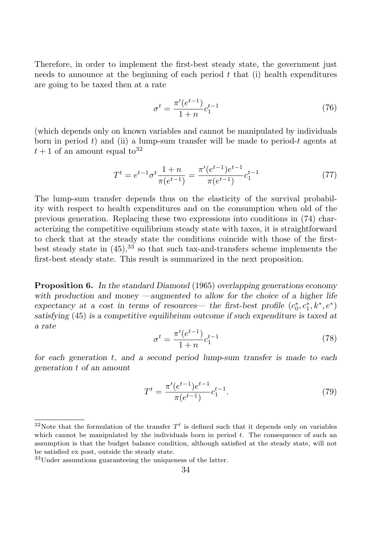Therefore, in order to implement the first-best steady state, the government just needs to announce at the beginning of each period  $t$  that (i) health expenditures are going to be taxed then at a rate

$$
\sigma^t = \frac{\pi'(e^{t-1})}{1+n} c_1^{t-1} \tag{76}
$$

(which depends only on known variables and cannot be manipulated by individuals born in period t) and (ii) a lump-sum transfer will be made to period-t agents at  $t+1$  of an amount equal to<sup>32</sup>

$$
T^{t} = e^{t-1} \sigma^{t} \frac{1+n}{\pi(e^{t-1})} = \frac{\pi'(e^{t-1})e^{t-1}}{\pi(e^{t-1})} c_1^{t-1}
$$
\n
$$
(77)
$$

The lump-sum transfer depends thus on the elasticity of the survival probability with respect to health expenditures and on the consumption when old of the previous generation. Replacing these two expressions into conditions in (74) characterizing the competitive equilibrium steady state with taxes, it is straightforward to check that at the steady state the conditions coincide with those of the firstbest steady state in  $(45)$ ,<sup>33</sup> so that such tax-and-transfers scheme implements the first-best steady state. This result is summarized in the next proposition.

**Proposition 6.** In the standard Diamond (1965) overlapping generations economy with production and money —augmented to allow for the choice of a higher life expectancy at a cost in terms of resources— the first-best profile  $(c_0^*)$  $c_0^*, c_1^*, k^*, e^*$ satisfying (45) is a competitive equilibrium outcome if such expenditure is taxed at a rate

$$
\sigma^t = \frac{\pi'(e^{t-1})}{1+n} c_1^{t-1} \tag{78}
$$

for each generation t, and a second period lump-sum transfer is made to each generation t of an amount

$$
T^{t} = \frac{\pi'(e^{t-1})e^{t-1}}{\pi(e^{t-1})}c_1^{t-1}.
$$
\n(79)

<sup>&</sup>lt;sup>32</sup>Note that the formulation of the transfer  $T<sup>t</sup>$  is defined such that it depends only on variables which cannot be manipulated by the individuals born in period  $t$ . The consequence of such an assumption is that the budget balance condition, although satisfied at the steady state, will not be satisfied ex post, outside the steady state.

<sup>33</sup>Under assumtions guaranteeing the uniqueness of the latter.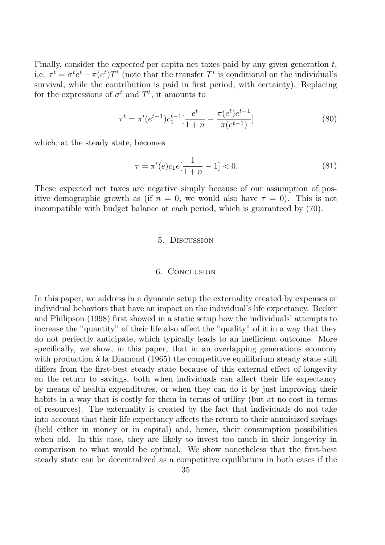Finally, consider the expected per capita net taxes paid by any given generation  $t$ , i.e.  $\tau^t = \sigma^t e^t - \pi(e^t) T^t$  (note that the transfer  $T^t$  is conditional on the individual's survival, while the contribution is paid in first period, with certainty). Replacing for the expressions of  $\sigma^t$  and  $T^t$ , it amounts to

$$
\tau^{t} = \pi'(e^{t-1})c_1^{t-1} \left[\frac{e^t}{1+n} - \frac{\pi(e^t)e^{t-1}}{\pi(e^{t-1})}\right]
$$
\n(80)

which, at the steady state, becomes

$$
\tau = \pi'(e)c_1e[\frac{1}{1+n} - 1] < 0. \tag{81}
$$

These expected net taxes are negative simply because of our assumption of positive demographic growth as (if  $n = 0$ , we would also have  $\tau = 0$ ). This is not incompatible with budget balance at each period, which is guaranteed by (70).

### 5. Discussion

#### 6. Conclusion

In this paper, we address in a dynamic setup the externality created by expenses or individual behaviors that have an impact on the individual's life expectancy. Becker and Philipson (1998) first showed in a static setup how the individuals' attempts to increase the "quantity" of their life also affect the "quality" of it in a way that they do not perfectly anticipate, which typically leads to an inefficient outcome. More specifically, we show, in this paper, that in an overlapping generations economy with production à la Diamond (1965) the competitive equilibrium steady state still differs from the first-best steady state because of this external effect of longevity on the return to savings, both when individuals can affect their life expectancy by means of health expenditures, or when they can do it by just improving their habits in a way that is costly for them in terms of utility (but at no cost in terms of resources). The externality is created by the fact that individuals do not take into account that their life expectancy affects the return to their annuitized savings (held either in money or in capital) and, hence, their consumption possibilities when old. In this case, they are likely to invest too much in their longevity in comparison to what would be optimal. We show nonetheless that the first-best steady state can be decentralized as a competitive equilibrium in both cases if the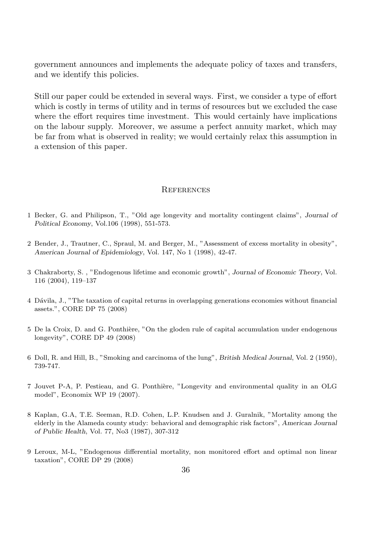government announces and implements the adequate policy of taxes and transfers, and we identify this policies.

Still our paper could be extended in several ways. First, we consider a type of effort which is costly in terms of utility and in terms of resources but we excluded the case where the effort requires time investment. This would certainly have implications on the labour supply. Moreover, we assume a perfect annuity market, which may be far from what is observed in reality; we would certainly relax this assumption in a extension of this paper.

### **REFERENCES**

- 1 Becker, G. and Philipson, T., "Old age longevity and mortality contingent claims", Journal of Political Economy, Vol.106 (1998), 551-573.
- 2 Bender, J., Trautner, C., Spraul, M. and Berger, M., "Assessment of excess mortality in obesity", American Journal of Epidemiology, Vol. 147, No 1 (1998), 42-47.
- 3 Chakraborty, S. , "Endogenous lifetime and economic growth", Journal of Economic Theory, Vol. 116 (2004), 119–137
- 4 D´avila, J., "The taxation of capital returns in overlapping generations economies without financial assets.", CORE DP 75 (2008)
- 5 De la Croix, D. and G. Ponthière, "On the gloden rule of capital accumulation under endogenous longevity", CORE DP 49 (2008)
- 6 Doll, R. and Hill, B., "Smoking and carcinoma of the lung", British Medical Journal, Vol. 2 (1950), 739-747.
- 7 Jouvet P-A, P. Pestieau, and G. Ponthi`ere, "Longevity and environmental quality in an OLG model", Economix WP 19 (2007).
- 8 Kaplan, G.A, T.E. Seeman, R.D. Cohen, L.P. Knudsen and J. Guralnik, "Mortality among the elderly in the Alameda county study: behavioral and demographic risk factors", American Journal of Public Health, Vol. 77, No3 (1987), 307-312
- 9 Leroux, M-L, "Endogenous differential mortality, non monitored effort and optimal non linear taxation", CORE DP 29 (2008)